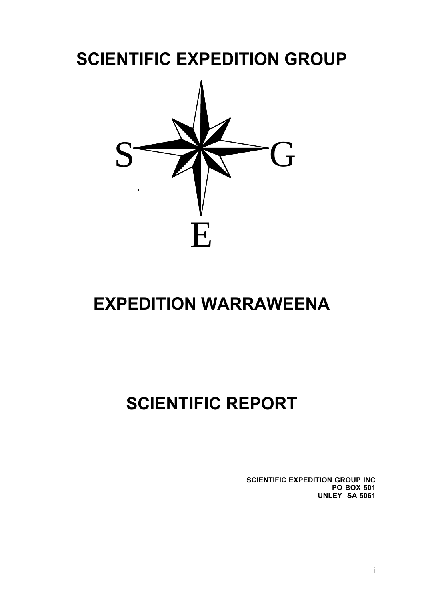# **SCIENTIFIC EXPEDITION GROUP**



# **EXPEDITION WARRAWEENA**

# **SCIENTIFIC REPORT**

**SCIENTIFIC EXPEDITION GROUP INC PO BOX 501 UNLEY SA 5061**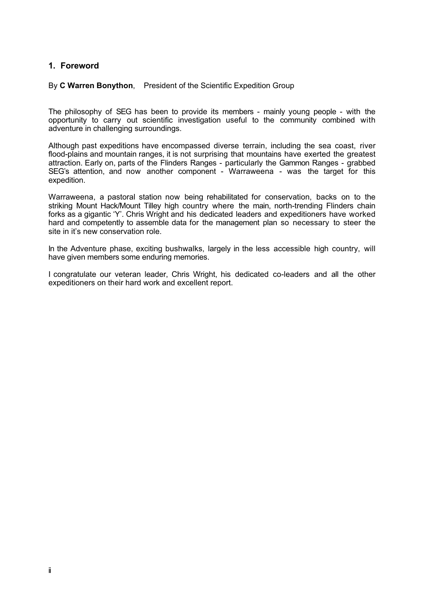# **1. Foreword**

#### By **C Warren Bonython**, President of the Scientific Expedition Group

The philosophy of SEG has been to provide its members - mainly young people - with the opportunity to carry out scientific investigation useful to the community combined with adventure in challenging surroundings.

Although past expeditions have encompassed diverse terrain, including the sea coast, river flood-plains and mountain ranges, it is not surprising that mountains have exerted the greatest attraction. Early on, parts of the Flinders Ranges - particularly the Gammon Ranges - grabbed SEG's attention, and now another component - Warraweena - was the target for this expedition.

Warraweena, a pastoral station now being rehabilitated for conservation, backs on to the striking Mount Hack/Mount Tilley high country where the main, north-trending Flinders chain forks as a gigantic 'Y'. Chris Wright and his dedicated leaders and expeditioners have worked hard and competently to assemble data for the management plan so necessary to steer the site in it's new conservation role.

In the Adventure phase, exciting bushwalks, largely in the less accessible high country, will have given members some enduring memories.

I congratulate our veteran leader, Chris Wright, his dedicated co-leaders and all the other expeditioners on their hard work and excellent report.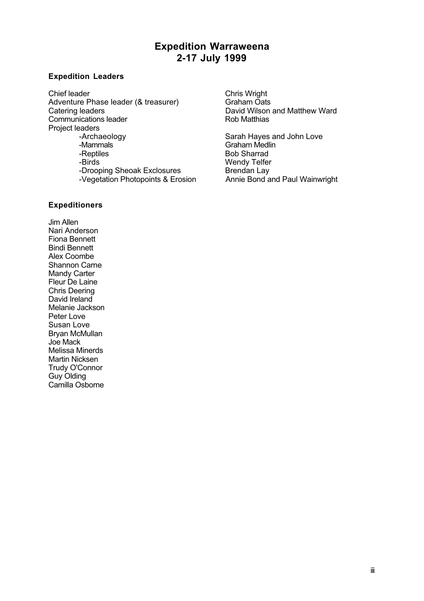# **Expedition Warraweena 2-17 July 1999**

#### **Expedition Leaders**

Chief leader<br>
Adventure Phase leader (& treasurer) Chris Wright<br>
Graham Oats Adventure Phase leader (& treasurer)<br>Catering leaders Communications leader Project leaders<br>Archaeology--Archaeology Sarah Hayes and John Love -Mammals Communication Craham Medlin<br>-Reptiles Communication Craham Medlin -Reptiles Bob Sharrad<br>-Birds Birds Bob Sharrad<br>-Birds Bob Sharrad -Drooping Sheoak Exclosures<br>-Vegetation Photopoints & Erosion Annie Bond and Paul Wainwright -Vegetation Photopoints & Erosion

David Wilson and Matthew Ward<br>Rob Matthias

Wendy Telfer<br>Brendan Lay

#### **Expeditioners**

Jim Allen Nari Anderson Fiona Bennett Bindi Bennett Alex Coombe Shannon Carne Mandy Carter Fleur De Laine Chris Deering David Ireland Melanie Jackson Peter Love Susan Love Bryan McMullan Joe Mack Melissa Minerds Martin Nicksen Trudy O'Connor Guy Olding Camilla Osborne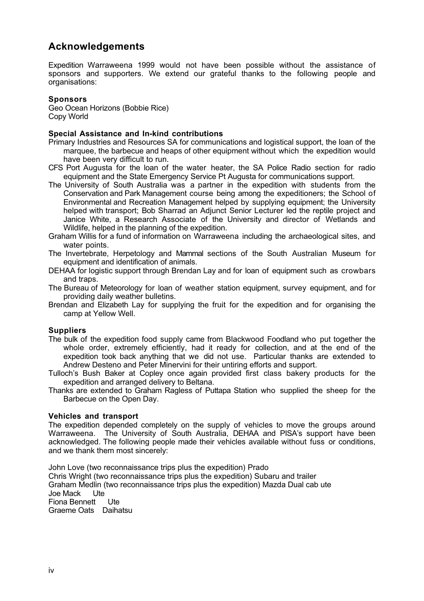# **Acknowledgements**

Expedition Warraweena 1999 would not have been possible without the assistance of sponsors and supporters. We extend our grateful thanks to the following people and organisations:

#### **Sponsors**

Geo Ocean Horizons (Bobbie Rice) Copy World

#### **Special Assistance and In-kind contributions**

- Primary Industries and Resources SA for communications and logistical support, the loan of the marquee, the barbecue and heaps of other equipment without which the expedition would have been very difficult to run.
- CFS Port Augusta for the loan of the water heater, the SA Police Radio section for radio equipment and the State Emergency Service Pt Augusta for communications support.
- The University of South Australia was a partner in the expedition with students from the Conservation and Park Management course being among the expeditioners; the School of Environmental and Recreation Management helped by supplying equipment; the University helped with transport; Bob Sharrad an Adjunct Senior Lecturer led the reptile project and Janice White, a Research Associate of the University and director of Wetlands and Wildlife, helped in the planning of the expedition.
- Graham Willis for a fund of information on Warraweena including the archaeological sites, and water points.
- The Invertebrate, Herpetology and Mammal sections of the South Australian Museum for equipment and identification of animals.
- DEHAA for logistic support through Brendan Lay and for loan of equipment such as crowbars and traps.
- The Bureau of Meteorology for loan of weather station equipment, survey equipment, and for providing daily weather bulletins.
- Brendan and Elizabeth Lay for supplying the fruit for the expedition and for organising the camp at Yellow Well.

# **Suppliers**

- The bulk of the expedition food supply came from Blackwood Foodland who put together the whole order, extremely efficiently, had it ready for collection, and at the end of the expedition took back anything that we did not use. Particular thanks are extended to Andrew Desteno and Peter Minervini for their untiring efforts and support.
- Tulloch's Bush Baker at Copley once again provided first class bakery products for the expedition and arranged delivery to Beltana.
- Thanks are extended to Graham Ragless of Puttapa Station who supplied the sheep for the Barbecue on the Open Day.

#### **Vehicles and transport**

The expedition depended completely on the supply of vehicles to move the groups around Warraweena. The University of South Australia, DEHAA and PISA's support have been acknowledged. The following people made their vehicles available without fuss or conditions, and we thank them most sincerely:

John Love (two reconnaissance trips plus the expedition) Prado Chris Wright (two reconnaissance trips plus the expedition) Subaru and trailer Graham Medlin (two reconnaissance trips plus the expedition) Mazda Dual cab ute Joe Mack Ute Fiona Bennett Ute Graeme Oats Daihatsu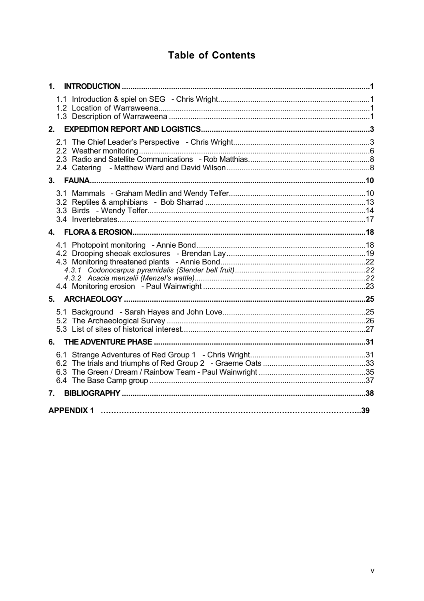# **Table of Contents**

| 1.             |  |
|----------------|--|
|                |  |
| 2.             |  |
|                |  |
| 3.             |  |
|                |  |
| 4              |  |
|                |  |
|                |  |
|                |  |
| 6.             |  |
|                |  |
| 7 <sup>1</sup> |  |
|                |  |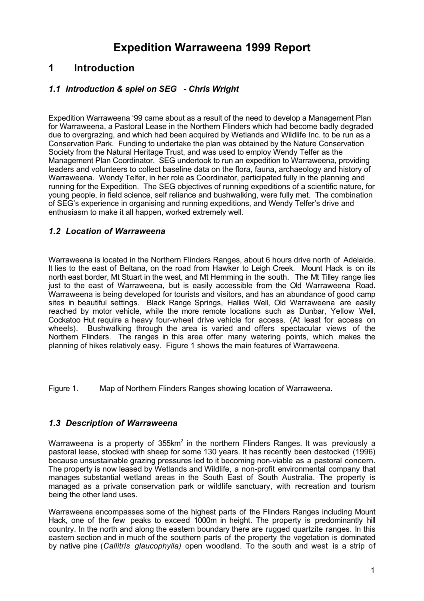# **Expedition Warraweena 1999 Report**

# **1 Introduction**

# *1.1 Introduction & spiel on SEG - Chris Wright*

Expedition Warraweena '99 came about as a result of the need to develop a Management Plan for Warraweena, a Pastoral Lease in the Northern Flinders which had become badly degraded due to overgrazing, and which had been acquired by Wetlands and Wildlife Inc. to be run as a Conservation Park. Funding to undertake the plan was obtained by the Nature Conservation Society from the Natural Heritage Trust, and was used to employ Wendy Telfer as the Management Plan Coordinator. SEG undertook to run an expedition to Warraweena, providing leaders and volunteers to collect baseline data on the flora, fauna, archaeology and history of Warraweena. Wendy Telfer, in her role as Coordinator, participated fully in the planning and running for the Expedition. The SEG objectives of running expeditions of a scientific nature, for young people, in field science, self reliance and bushwalking, were fully met. The combination of SEG's experience in organising and running expeditions, and Wendy Telfer's drive and enthusiasm to make it all happen, worked extremely well.

# *1.2 Location of Warraweena*

Warraweena is located in the Northern Flinders Ranges, about 6 hours drive north of Adelaide. It lies to the east of Beltana, on the road from Hawker to Leigh Creek. Mount Hack is on its north east border, Mt Stuart in the west, and Mt Hemming in the south. The Mt Tilley range lies just to the east of Warraweena, but is easily accessible from the Old Warraweena Road. Warraweena is being developed for tourists and visitors, and has an abundance of good camp sites in beautiful settings. Black Range Springs, Hallies Well, Old Warraweena are easily reached by motor vehicle, while the more remote locations such as Dunbar, Yellow Well, Cockatoo Hut require a heavy four-wheel drive vehicle for access. (At least for access on wheels). Bushwalking through the area is varied and offers spectacular views of the Northern Flinders. The ranges in this area offer many watering points, which makes the planning of hikes relatively easy. Figure 1 shows the main features of Warraweena.

Figure 1. Map of Northern Flinders Ranges showing location of Warraweena.

# *1.3 Description of Warraweena*

Warraweena is a property of  $355km^2$  in the northern Flinders Ranges. It was previously a pastoral lease, stocked with sheep for some 130 years. It has recently been destocked (1996) because unsustainable grazing pressures led to it becoming non-viable as a pastoral concern. The property is now leased by Wetlands and Wildlife, a non-profit environmental company that manages substantial wetland areas in the South East of South Australia. The property is managed as a private conservation park or wildlife sanctuary, with recreation and tourism being the other land uses.

Warraweena encompasses some of the highest parts of the Flinders Ranges including Mount Hack, one of the few peaks to exceed 1000m in height. The property is predominantly hill country. In the north and along the eastern boundary there are rugged quartzite ranges. In this eastern section and in much of the southern parts of the property the vegetation is dominated by native pine (*Callitris glaucophylla)* open woodland. To the south and west is a strip of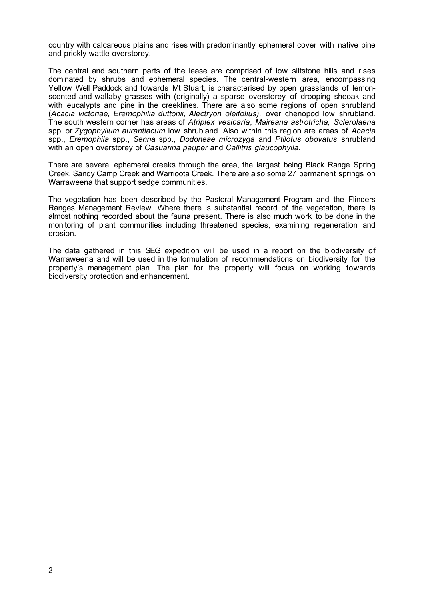country with calcareous plains and rises with predominantly ephemeral cover with native pine and prickly wattle overstorey.

The central and southern parts of the lease are comprised of low siltstone hills and rises dominated by shrubs and ephemeral species. The central-western area, encompassing Yellow Well Paddock and towards Mt Stuart, is characterised by open grasslands of lemonscented and wallaby grasses with (originally) a sparse overstorey of drooping sheoak and with eucalypts and pine in the creeklines. There are also some regions of open shrubland (*Acacia victoriae, Eremophilia duttonii, Alectryon oleifolius),* over chenopod low shrubland*.* The south western corner has areas of *Atriplex vesicaria*, *Maireana astrotricha, Sclerolaena* spp. or *Zygophyllum aurantiacum* low shrubland. Also within this region are areas of *Acacia* spp., *Eremophila* spp., *Senna* spp., *Dodoneae microzyga* and *Ptilotus obovatus* shrubland with an open overstorey of *Casuarina pauper* and *Callitris glaucophylla.*

There are several ephemeral creeks through the area, the largest being Black Range Spring Creek, Sandy Camp Creek and Warrioota Creek. There are also some 27 permanent springs on Warraweena that support sedge communities.

The vegetation has been described by the Pastoral Management Program and the Flinders Ranges Management Review. Where there is substantial record of the vegetation, there is almost nothing recorded about the fauna present. There is also much work to be done in the monitoring of plant communities including threatened species, examining regeneration and erosion.

The data gathered in this SEG expedition will be used in a report on the biodiversity of Warraweena and will be used in the formulation of recommendations on biodiversity for the property's management plan. The plan for the property will focus on working towards biodiversity protection and enhancement.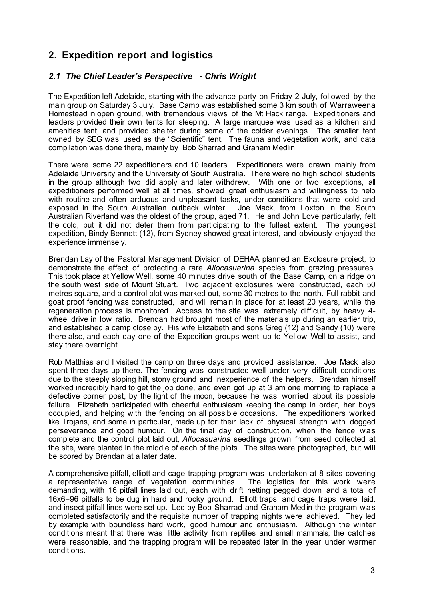# **2. Expedition report and logistics**

# *2.1 The Chief Leader's Perspective - Chris Wright*

The Expedition left Adelaide, starting with the advance party on Friday 2 July, followed by the main group on Saturday 3 July. Base Camp was established some 3 km south of Warraweena Homestead in open ground, with tremendous views of the Mt Hack range. Expeditioners and leaders provided their own tents for sleeping. A large marquee was used as a kitchen and amenities tent, and provided shelter during some of the colder evenings. The smaller tent owned by SEG was used as the "Scientific" tent. The fauna and vegetation work, and data compilation was done there, mainly by Bob Sharrad and Graham Medlin.

There were some 22 expeditioners and 10 leaders. Expeditioners were drawn mainly from Adelaide University and the University of South Australia. There were no high school students in the group although two did apply and later withdrew. With one or two exceptions, all expeditioners performed well at all times, showed great enthusiasm and willingness to help with routine and often arduous and unpleasant tasks, under conditions that were cold and exposed in the South Australian outback winter. Joe Mack, from Loxton in the South Australian Riverland was the oldest of the group, aged 71. He and John Love particularly, felt the cold, but it did not deter them from participating to the fullest extent. The youngest expedition, Bindy Bennett (12), from Sydney showed great interest, and obviously enjoyed the experience immensely.

Brendan Lay of the Pastoral Management Division of DEHAA planned an Exclosure project, to demonstrate the effect of protecting a rare *Allocasuarina* species from grazing pressures. This took place at Yellow Well, some 40 minutes drive south of the Base Camp, on a ridge on the south west side of Mount Stuart. Two adjacent exclosures were constructed, each 50 metres square, and a control plot was marked out, some 30 metres to the north. Full rabbit and goat proof fencing was constructed, and will remain in place for at least 20 years, while the regeneration process is monitored. Access to the site was extremely difficult, by heavy 4 wheel drive in low ratio. Brendan had brought most of the materials up during an earlier trip, and established a camp close by. His wife Elizabeth and sons Greg (12) and Sandy (10) were there also, and each day one of the Expedition groups went up to Yellow Well to assist, and stay there overnight.

Rob Matthias and I visited the camp on three days and provided assistance. Joe Mack also spent three days up there. The fencing was constructed well under very difficult conditions due to the steeply sloping hill, stony ground and inexperience of the helpers. Brendan himself worked incredibly hard to get the job done, and even got up at 3 am one morning to replace a defective corner post, by the light of the moon, because he was worried about its possible failure. Elizabeth participated with cheerful enthusiasm keeping the camp in order, her boys occupied, and helping with the fencing on all possible occasions. The expeditioners worked like Trojans, and some in particular, made up for their lack of physical strength with dogged perseverance and good humour. On the final day of construction, when the fence was complete and the control plot laid out, *Allocasuarina* seedlings grown from seed collected at the site, were planted in the middle of each of the plots. The sites were photographed, but will be scored by Brendan at a later date.

A comprehensive pitfall, elliott and cage trapping program was undertaken at 8 sites covering a representative range of vegetation communities. The logistics for this work were demanding, with 16 pitfall lines laid out, each with drift netting pegged down and a total of 16x6=96 pitfalls to be dug in hard and rocky ground. Elliott traps, and cage traps were laid, and insect pitfall lines were set up. Led by Bob Sharrad and Graham Medlin the program was completed satisfactorily and the requisite number of trapping nights were achieved. They led by example with boundless hard work, good humour and enthusiasm. Although the winter conditions meant that there was little activity from reptiles and small mammals, the catches were reasonable, and the trapping program will be repeated later in the year under warmer conditions.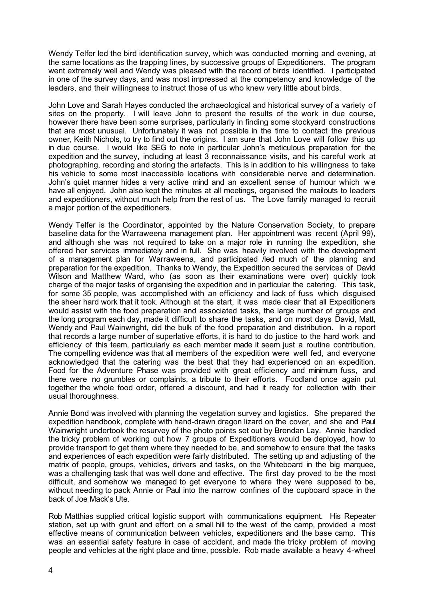Wendy Telfer led the bird identification survey, which was conducted morning and evening, at the same locations as the trapping lines, by successive groups of Expeditioners. The program went extremely well and Wendy was pleased with the record of birds identified. I participated in one of the survey days, and was most impressed at the competency and knowledge of the leaders, and their willingness to instruct those of us who knew very little about birds.

John Love and Sarah Hayes conducted the archaeological and historical survey of a variety of sites on the property. I will leave John to present the results of the work in due course, however there have been some surprises, particularly in finding some stockyard constructions that are most unusual. Unfortunately it was not possible in the time to contact the previous owner, Keith Nichols, to try to find out the origins. I am sure that John Love will follow this up in due course. I would like SEG to note in particular John's meticulous preparation for the expedition and the survey, including at least 3 reconnaissance visits, and his careful work at photographing, recording and storing the artefacts. This is in addition to his willingness to take his vehicle to some most inaccessible locations with considerable nerve and determination. John's quiet manner hides a very active mind and an excellent sense of humour which w e have all enjoyed. John also kept the minutes at all meetings, organised the mailouts to leaders and expeditioners, without much help from the rest of us. The Love family managed to recruit a major portion of the expeditioners.

Wendy Telfer is the Coordinator, appointed by the Nature Conservation Society, to prepare baseline data for the Warraweena management plan. Her appointment was recent (April 99), and although she was not required to take on a major role in running the expedition, she offered her services immediately and in full. She was heavily involved with the development of a management plan for Warraweena, and participated /led much of the planning and preparation for the expedition. Thanks to Wendy, the Expedition secured the services of David Wilson and Matthew Ward, who (as soon as their examinations were over) quickly took charge of the major tasks of organising the expedition and in particular the catering. This task, for some 35 people, was accomplished with an efficiency and lack of fuss which disguised the sheer hard work that it took. Although at the start, it was made clear that all Expeditioners would assist with the food preparation and associated tasks, the large number of groups and the long program each day, made it difficult to share the tasks, and on most days David, Matt, Wendy and Paul Wainwright, did the bulk of the food preparation and distribution. In a report that records a large number of superlative efforts, it is hard to do justice to the hard work and efficiency of this team, particularly as each member made it seem just a routine contribution. The compelling evidence was that all members of the expedition were well fed, and everyone acknowledged that the catering was the best that they had experienced on an expedition. Food for the Adventure Phase was provided with great efficiency and minimum fuss, and there were no grumbles or complaints, a tribute to their efforts. Foodland once again put together the whole food order, offered a discount, and had it ready for collection with their usual thoroughness.

Annie Bond was involved with planning the vegetation survey and logistics. She prepared the expedition handbook, complete with hand-drawn dragon lizard on the cover, and she and Paul Wainwright undertook the resurvey of the photo points set out by Brendan Lay. Annie handled the tricky problem of working out how 7 groups of Expeditioners would be deployed, how to provide transport to get them where they needed to be, and somehow to ensure that the tasks and experiences of each expedition were fairly distributed. The setting up and adjusting of the matrix of people, groups, vehicles, drivers and tasks, on the Whiteboard in the big marquee, was a challenging task that was well done and effective. The first day proved to be the most difficult, and somehow we managed to get everyone to where they were supposed to be, without needing to pack Annie or Paul into the narrow confines of the cupboard space in the back of Joe Mack's Ute.

Rob Matthias supplied critical logistic support with communications equipment. His Repeater station, set up with grunt and effort on a small hill to the west of the camp, provided a most effective means of communication between vehicles, expeditioners and the base camp. This was an essential safety feature in case of accident, and made the tricky problem of moving people and vehicles at the right place and time, possible. Rob made available a heavy 4-wheel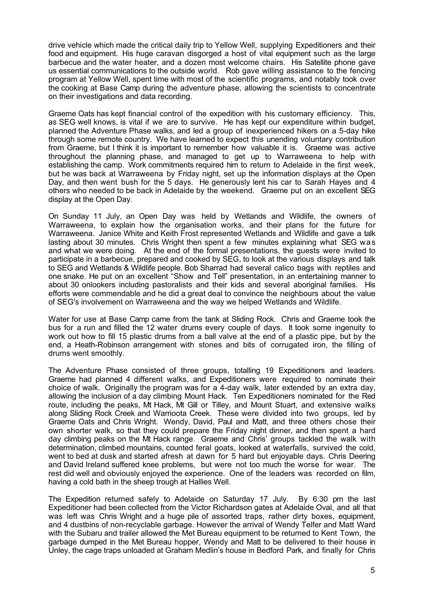drive vehicle which made the critical daily trip to Yellow Well, supplying Expeditioners and their food and equipment. His huge caravan disgorged a host of vital equipment such as the large barbecue and the water heater, and a dozen most welcome chairs. His Satellite phone gave us essential communications to the outside world. Rob gave willing assistance to the fencing program at Yellow Well, spent time with most of the scientific programs, and notably took over the cooking at Base Camp during the adventure phase, allowing the scientists to concentrate on their investigations and data recording.

Graeme Oats has kept financial control of the expedition with his customary efficiency. This, as SEG well knows, is vital if we are to survive. He has kept our expenditure within budget, planned the Adventure Phase walks, and led a group of inexperienced hikers on a 5-day hike through some remote country. We have learned to expect this unending voluntary contribution from Graeme, but I think it is important to remember how valuable it is. Graeme was active throughout the planning phase, and managed to get up to Warraweena to help with establishing the camp. Work commitments required him to return to Adelaide in the first week, but he was back at Warraweena by Friday night, set up the information displays at the Open Day, and then went bush for the 5 days. He generously lent his car to Sarah Hayes and 4 others who needed to be back in Adelaide by the weekend. Graeme put on an excellent SEG display at the Open Day.

On Sunday 11 July, an Open Day was held by Wetlands and Wildlife, the owners of Warraweena, to explain how the organisation works, and their plans for the future for Warraweena. Janice White and Keith Frost represented Wetlands and Wildlife and gave a talk lasting about 30 minutes. Chris Wright then spent a few minutes explaining what SEG was and what we were doing. At the end of the formal presentations, the guests were invited to participate in a barbecue, prepared and cooked by SEG, to look at the various displays and talk to SEG and Wetlands & Wildlife people. Bob Sharrad had several calico bags with reptiles and one snake. He put on an excellent "Show and Tell" presentation, in an entertaining manner to about 30 onlookers including pastoralists and their kids and several aboriginal families. His efforts were commendable and he did a great deal to convince the neighbours about the value of SEG's involvement on Warraweena and the way we helped Wetlands and Wildlife.

Water for use at Base Camp came from the tank at Sliding Rock. Chris and Graeme took the bus for a run and filled the 12 water drums every couple of days. It took some ingenuity to work out how to fill 15 plastic drums from a ball valve at the end of a plastic pipe, but by the end, a Heath-Robinson arrangement with stones and bits of corrugated iron, the filling of drums went smoothly.

The Adventure Phase consisted of three groups, totalling 19 Expeditioners and leaders. Graeme had planned 4 different walks, and Expeditioners were required to nominate their choice of walk. Originally the program was for a 4-day walk, later extended by an extra day, allowing the inclusion of a day climbing Mount Hack. Ten Expeditioners nominated for the Red route, including the peaks, Mt Hack, Mt Gill or Tilley, and Mount Stuart, and extensive walks along Sliding Rock Creek and Warrioota Creek. These were divided into two groups, led by Graeme Oats and Chris Wright. Wendy, David, Paul and Matt, and three others chose their own shorter walk, so that they could prepare the Friday night dinner, and then spent a hard day climbing peaks on the Mt Hack range. Graeme and Chris' groups tackled the walk with determination, climbed mountains, counted feral goats, looked at waterfalls, survived the cold, went to bed at dusk and started afresh at dawn for 5 hard but enjoyable days. Chris Deering and David Ireland suffered knee problems, but were not too much the worse for wear. The rest did well and obviously enjoyed the experience. One of the leaders was recorded on film, having a cold bath in the sheep trough at Hallies Well.

The Expedition returned safely to Adelaide on Saturday 17 July. By 6:30 pm the last Expeditioner had been collected from the Victor Richardson gates at Adelaide Oval, and all that was left was Chris Wright and a huge pile of assorted traps, rather dirty boxes, equipment, and 4 dustbins of non-recyclable garbage. However the arrival of Wendy Telfer and Matt Ward with the Subaru and trailer allowed the Met Bureau equipment to be returned to Kent Town, the garbage dumped in the Met Bureau hopper, Wendy and Matt to be delivered to their house in Unley, the cage traps unloaded at Graham Medlin's house in Bedford Park, and finally for Chris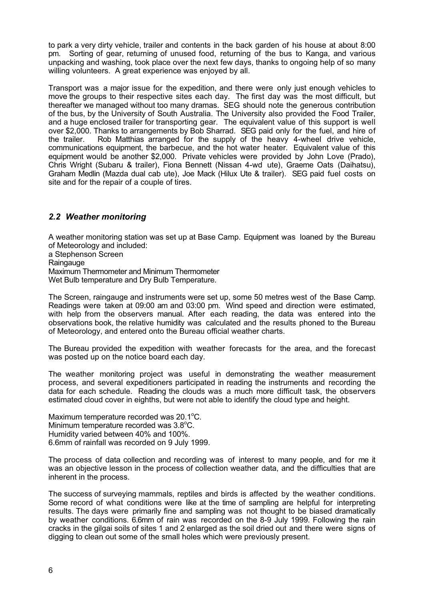to park a very dirty vehicle, trailer and contents in the back garden of his house at about 8:00 pm. Sorting of gear, returning of unused food, returning of the bus to Kanga, and various unpacking and washing, took place over the next few days, thanks to ongoing help of so many willing volunteers. A great experience was enjoyed by all.

Transport was a major issue for the expedition, and there were only just enough vehicles to move the groups to their respective sites each day. The first day was the most difficult, but thereafter we managed without too many dramas. SEG should note the generous contribution of the bus, by the University of South Australia. The University also provided the Food Trailer, and a huge enclosed trailer for transporting gear. The equivalent value of this support is well over \$2,000. Thanks to arrangements by Bob Sharrad. SEG paid only for the fuel, and hire of the trailer. Rob Matthias arranged for the supply of the heavy 4-wheel drive vehicle, communications equipment, the barbecue, and the hot water heater. Equivalent value of this equipment would be another \$2,000. Private vehicles were provided by John Love (Prado), Chris Wright (Subaru & trailer), Fiona Bennett (Nissan 4-wd ute), Graeme Oats (Daihatsu), Graham Medlin (Mazda dual cab ute), Joe Mack (Hilux Ute & trailer). SEG paid fuel costs on site and for the repair of a couple of tires.

# *2.2 Weather monitoring*

A weather monitoring station was set up at Base Camp. Equipment was loaned by the Bureau of Meteorology and included:

a Stephenson Screen **Raingauge** Maximum Thermometer and Minimum Thermometer Wet Bulb temperature and Dry Bulb Temperature.

The Screen, raingauge and instruments were set up, some 50 metres west of the Base Camp. Readings were taken at 09:00 am and 03:00 pm. Wind speed and direction were estimated, with help from the observers manual. After each reading, the data was entered into the observations book, the relative humidity was calculated and the results phoned to the Bureau of Meteorology, and entered onto the Bureau official weather charts.

The Bureau provided the expedition with weather forecasts for the area, and the forecast was posted up on the notice board each day.

The weather monitoring project was useful in demonstrating the weather measurement process, and several expeditioners participated in reading the instruments and recording the data for each schedule. Reading the clouds was a much more difficult task, the observers estimated cloud cover in eighths, but were not able to identify the cloud type and height.

Maximum temperature recorded was 20.1°C. Minimum temperature recorded was 3.8°C. Humidity varied between 40% and 100%. 6.6mm of rainfall was recorded on 9 July 1999.

The process of data collection and recording was of interest to many people, and for me it was an objective lesson in the process of collection weather data, and the difficulties that are inherent in the process.

The success of surveying mammals, reptiles and birds is affected by the weather conditions. Some record of what conditions were like at the time of sampling are helpful for interpreting results. The days were primarily fine and sampling was not thought to be biased dramatically by weather conditions. 6.6mm of rain was recorded on the 8-9 July 1999. Following the rain cracks in the gilgai soils of sites 1 and 2 enlarged as the soil dried out and there were signs of digging to clean out some of the small holes which were previously present.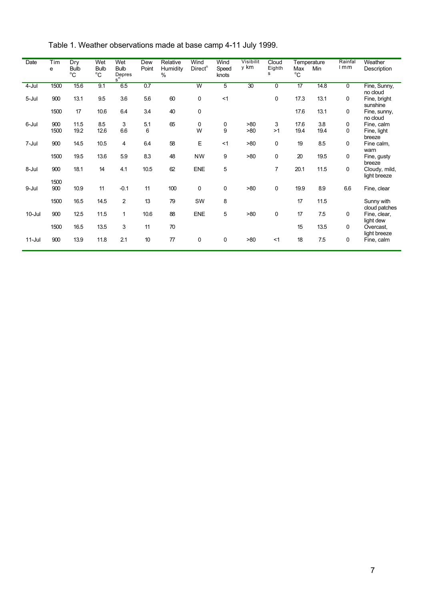| Date       | Tim<br>е    | Dry<br><b>Bulb</b><br>$^{\circ}C$ | Wet<br><b>Bulb</b><br>$^{\circ}C$ | Wet<br><b>Bulb</b><br>Depres<br>s <sup>n</sup> | Dew<br>Point | Relative<br>Humidity<br>% | Wind<br>Direct <sup>n</sup> | Wind<br>Speed<br>knots | <b>Visibilit</b><br>y km | Cloud<br>Eighth<br>s | Max<br>$^{\circ}C$ | Temperature<br>Min | Rainfal<br>$1$ m m | Weather<br>Description        |
|------------|-------------|-----------------------------------|-----------------------------------|------------------------------------------------|--------------|---------------------------|-----------------------------|------------------------|--------------------------|----------------------|--------------------|--------------------|--------------------|-------------------------------|
| 4-Jul      | 1500        | 15.6                              | 9.1                               | 6.5                                            | 0.7          |                           | W                           | $\overline{5}$         | 30                       | 0                    | 17                 | 14.8               | 0                  | Fine, Sunny,<br>no cloud      |
| 5-Jul      | 900         | 13.1                              | 9.5                               | 3.6                                            | 5.6          | 60                        | 0                           | <1                     |                          | 0                    | 17.3               | 13.1               | 0                  | Fine, bright<br>sunshine      |
|            | 1500        | 17                                | 10.6                              | 6.4                                            | 3.4          | 40                        | 0                           |                        |                          |                      | 17.6               | 13.1               | 0                  | Fine, sunny,<br>no cloud      |
| 6-Jul      | 900         | 11.5                              | 8.5                               | 3                                              | 5.1          | 65                        | 0                           | 0                      | >80                      | 3                    | 17.6               | 3.8                | 0                  | Fine, calm                    |
|            | 1500        | 19.2                              | 12.6                              | 6.6                                            | 6            |                           | W                           | 9                      | >80                      | >1                   | 19.4               | 19.4               | 0                  | Fine, light<br>breeze         |
| 7-Jul      | 900         | 14.5                              | 10.5                              | 4                                              | 6.4          | 58                        | Ε                           | <1                     | >80                      | 0                    | 19                 | 8.5                | 0                  | Fine calm,<br>warn            |
|            | 1500        | 19.5                              | 13.6                              | 5.9                                            | 8.3          | 48                        | <b>NW</b>                   | 9                      | >80                      | 0                    | 20                 | 19.5               | 0                  | Fine, gusty<br>breeze         |
| 8-Jul      | 900         | 18.1                              | 14                                | 4.1                                            | 10.5         | 62                        | <b>ENE</b>                  | 5                      |                          | 7                    | 20.1               | 11.5               | 0                  | Cloudy, mild,<br>light breeze |
| 9-Jul      | 1500<br>900 | 10.9                              | 11                                | $-0.1$                                         | 11           | 100                       | 0                           | 0                      | >80                      | $\mathbf 0$          | 19.9               | 8.9                | 6.6                | Fine, clear                   |
|            | 1500        | 16.5                              | 14.5                              | 2                                              | 13           | 79                        | SW                          | 8                      |                          |                      | 17                 | 11.5               |                    | Sunny with<br>cloud patches   |
| $10 -$ Jul | 900         | 12.5                              | 11.5                              | $\mathbf{1}$                                   | 10.6         | 88                        | <b>ENE</b>                  | 5                      | >80                      | $\mathbf 0$          | 17                 | 7.5                | 0                  | Fine, clear,<br>light dew     |
|            | 1500        | 16.5                              | 13.5                              | 3                                              | 11           | 70                        |                             |                        |                          |                      | 15                 | 13.5               | 0                  | Overcast,<br>light breeze     |
| $11-Jul$   | 900         | 13.9                              | 11.8                              | 2.1                                            | 10           | 77                        | 0                           | $\mathbf 0$            | >80                      | <1                   | 18                 | 7.5                | 0                  | Fine, calm                    |

Table 1. Weather observations made at base camp 4-11 July 1999.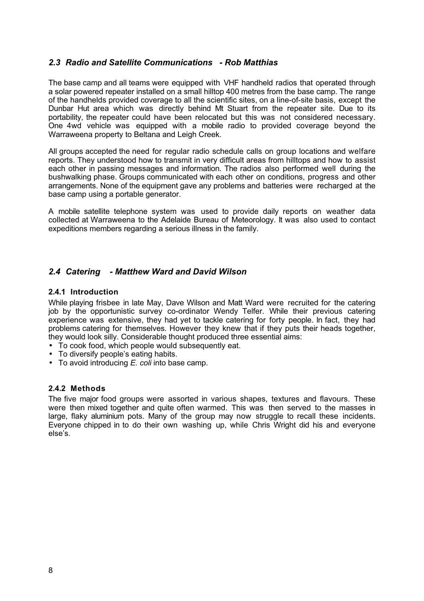# *2.3 Radio and Satellite Communications - Rob Matthias*

The base camp and all teams were equipped with VHF handheld radios that operated through a solar powered repeater installed on a small hilltop 400 metres from the base camp. The range of the handhelds provided coverage to all the scientific sites, on a line-of-site basis, except the Dunbar Hut area which was directly behind Mt Stuart from the repeater site. Due to its portability, the repeater could have been relocated but this was not considered necessary. One 4wd vehicle was equipped with a mobile radio to provided coverage beyond the Warraweena property to Beltana and Leigh Creek.

All groups accepted the need for regular radio schedule calls on group locations and welfare reports. They understood how to transmit in very difficult areas from hilltops and how to assist each other in passing messages and information. The radios also performed well during the bushwalking phase. Groups communicated with each other on conditions, progress and other arrangements. None of the equipment gave any problems and batteries were recharged at the base camp using a portable generator.

A mobile satellite telephone system was used to provide daily reports on weather data collected at Warraweena to the Adelaide Bureau of Meteorology. It was also used to contact expeditions members regarding a serious illness in the family.

# *2.4 Catering - Matthew Ward and David Wilson*

#### **2.4.1 Introduction**

While playing frisbee in late May, Dave Wilson and Matt Ward were recruited for the catering job by the opportunistic survey co-ordinator Wendy Telfer. While their previous catering experience was extensive, they had yet to tackle catering for forty people. In fact, they had problems catering for themselves. However they knew that if they puts their heads together, they would look silly. Considerable thought produced three essential aims:

- To cook food, which people would subsequently eat.
- To diversify people's eating habits.
- To avoid introducing *E. coli* into base camp.

# **2.4.2 Methods**

The five major food groups were assorted in various shapes, textures and flavours. These were then mixed together and quite often warmed. This was then served to the masses in large, flaky aluminium pots. Many of the group may now struggle to recall these incidents. Everyone chipped in to do their own washing up, while Chris Wright did his and everyone else's.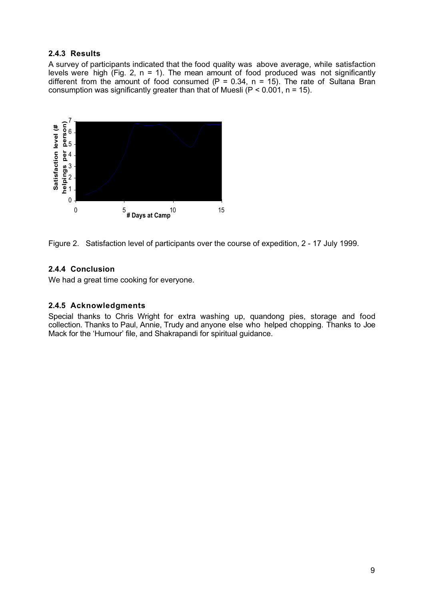# **2.4.3 Results**

A survey of participants indicated that the food quality was above average, while satisfaction levels were high (Fig. 2,  $n = 1$ ). The mean amount of food produced was not significantly different from the amount of food consumed (P = 0.34, n = 15). The rate of Sultana Bran consumption was significantly greater than that of Muesli ( $P < 0.001$ , n = 15).



Figure 2. Satisfaction level of participants over the course of expedition, 2 - 17 July 1999.

# **2.4.4 Conclusion**

We had a great time cooking for everyone.

# **2.4.5 Acknowledgments**

Special thanks to Chris Wright for extra washing up, quandong pies, storage and food collection. Thanks to Paul, Annie, Trudy and anyone else who helped chopping. Thanks to Joe Mack for the 'Humour' file, and Shakrapandi for spiritual guidance.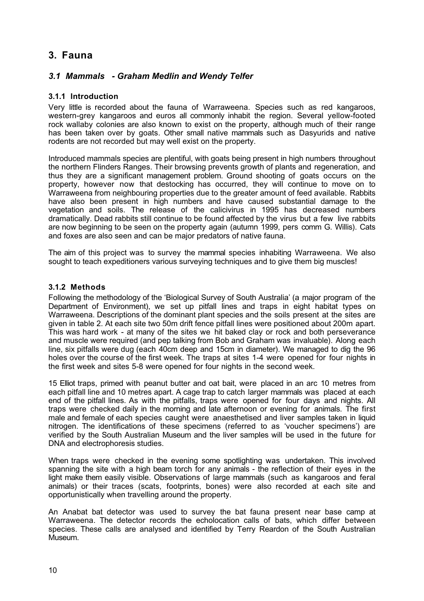# **3. Fauna**

# *3.1 Mammals - Graham Medlin and Wendy Telfer*

# **3.1.1 Introduction**

Very little is recorded about the fauna of Warraweena. Species such as red kangaroos, western-grey kangaroos and euros all commonly inhabit the region. Several yellow-footed rock wallaby colonies are also known to exist on the property, although much of their range has been taken over by goats. Other small native mammals such as Dasyurids and native rodents are not recorded but may well exist on the property.

Introduced mammals species are plentiful, with goats being present in high numbers throughout the northern Flinders Ranges. Their browsing prevents growth of plants and regeneration, and thus they are a significant management problem. Ground shooting of goats occurs on the property, however now that destocking has occurred, they will continue to move on to Warraweena from neighbouring properties due to the greater amount of feed available. Rabbits have also been present in high numbers and have caused substantial damage to the vegetation and soils. The release of the calicivirus in 1995 has decreased numbers dramatically. Dead rabbits still continue to be found affected by the virus but a few live rabbits are now beginning to be seen on the property again (autumn 1999, pers comm G. Willis). Cats and foxes are also seen and can be major predators of native fauna.

The aim of this project was to survey the mammal species inhabiting Warraweena. We also sought to teach expeditioners various surveying techniques and to give them big muscles!

# **3.1.2 Methods**

Following the methodology of the 'Biological Survey of South Australia' (a major program of the Department of Environment), we set up pitfall lines and traps in eight habitat types on Warraweena. Descriptions of the dominant plant species and the soils present at the sites are given in table 2. At each site two 50m drift fence pitfall lines were positioned about 200m apart. This was hard work - at many of the sites we hit baked clay or rock and both perseverance and muscle were required (and pep talking from Bob and Graham was invaluable). Along each line, six pitfalls were dug (each 40cm deep and 15cm in diameter). We managed to dig the 96 holes over the course of the first week. The traps at sites 1-4 were opened for four nights in the first week and sites 5-8 were opened for four nights in the second week.

15 Elliot traps, primed with peanut butter and oat bait, were placed in an arc 10 metres from each pitfall line and 10 metres apart. A cage trap to catch larger mammals was placed at each end of the pitfall lines. As with the pitfalls, traps were opened for four days and nights. All traps were checked daily in the morning and late afternoon or evening for animals. The first male and female of each species caught were anaesthetised and liver samples taken in liquid nitrogen. The identifications of these specimens (referred to as 'voucher specimens') are verified by the South Australian Museum and the liver samples will be used in the future for DNA and electrophoresis studies.

When traps were checked in the evening some spotlighting was undertaken. This involved spanning the site with a high beam torch for any animals - the reflection of their eyes in the light make them easily visible. Observations of large mammals (such as kangaroos and feral animals) or their traces (scats, footprints, bones) were also recorded at each site and opportunistically when travelling around the property.

An Anabat bat detector was used to survey the bat fauna present near base camp at Warraweena. The detector records the echolocation calls of bats, which differ between species. These calls are analysed and identified by Terry Reardon of the South Australian Museum.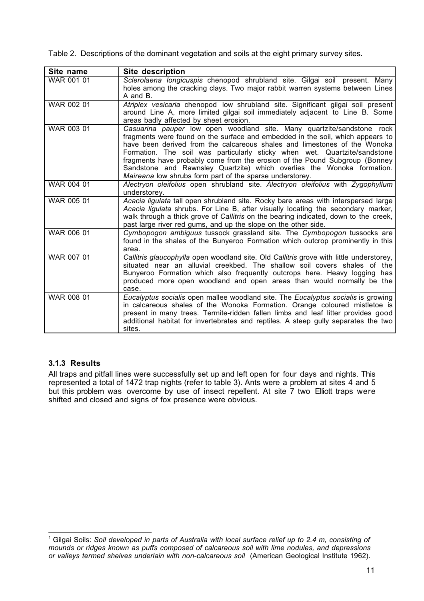Table 2. Descriptions of the dominant vegetation and soils at the eight primary survey sites.

| Site name  | <b>Site description</b>                                                                                                                                                                                                                                                                                                                                                                                                                                                                                                                 |
|------------|-----------------------------------------------------------------------------------------------------------------------------------------------------------------------------------------------------------------------------------------------------------------------------------------------------------------------------------------------------------------------------------------------------------------------------------------------------------------------------------------------------------------------------------------|
| WAR 001 01 | Sclerolaena longicuspis chenopod shrubland site. Gilgai soil <sup>1</sup> present. Many<br>holes among the cracking clays. Two major rabbit warren systems between Lines<br>A and B.                                                                                                                                                                                                                                                                                                                                                    |
| WAR 002 01 | Atriplex vesicaria chenopod low shrubland site. Significant gilgai soil present<br>around Line A, more limited gilgai soil immediately adjacent to Line B. Some<br>areas badly affected by sheet erosion.                                                                                                                                                                                                                                                                                                                               |
| WAR 003 01 | Casuarina pauper low open woodland site. Many quartzite/sandstone rock<br>fragments were found on the surface and embedded in the soil, which appears to<br>have been derived from the calcareous shales and limestones of the Wonoka<br>Formation. The soil was particularly sticky when wet. Quartzite/sandstone<br>fragments have probably come from the erosion of the Pound Subgroup (Bonney<br>Sandstone and Rawnsley Quartzite) which overlies the Wonoka formation.<br>Maireana low shrubs form part of the sparse understorey. |
| WAR 004 01 | Alectryon oleifolius open shrubland site. Alectryon oleifolius with Zygophyllum<br>understorey.                                                                                                                                                                                                                                                                                                                                                                                                                                         |
| WAR 005 01 | Acacia ligulata tall open shrubland site. Rocky bare areas with interspersed large<br>Acacia ligulata shrubs. For Line B, after visually locating the secondary marker,<br>walk through a thick grove of Callitris on the bearing indicated, down to the creek,<br>past large river red gums, and up the slope on the other side.                                                                                                                                                                                                       |
| WAR 006 01 | Cymbopogon ambiguus tussock grassland site. The Cymbopogon tussocks are<br>found in the shales of the Bunyeroo Formation which outcrop prominently in this<br>area.                                                                                                                                                                                                                                                                                                                                                                     |
| WAR 007 01 | Callitris glaucophylla open woodland site. Old Callitris grove with little understorey,<br>situated near an alluvial creekbed. The shallow soil covers shales of the<br>Bunyeroo Formation which also frequently outcrops here. Heavy logging has<br>produced more open woodland and open areas than would normally be the<br>case.                                                                                                                                                                                                     |
| WAR 008 01 | Eucalyptus socialis open mallee woodland site. The Eucalyptus socialis is growing<br>in calcareous shales of the Wonoka Formation. Orange coloured mistletoe is<br>present in many trees. Termite-ridden fallen limbs and leaf litter provides good<br>additional habitat for invertebrates and reptiles. A steep gully separates the two<br>sites.                                                                                                                                                                                     |

# **3.1.3 Results**

All traps and pitfall lines were successfully set up and left open for four days and nights. This represented a total of 1472 trap nights (refer to table 3). Ants were a problem at sites 4 and 5 but this problem was overcome by use of insect repellent. At site 7 two Elliott traps were shifted and closed and signs of fox presence were obvious.

 $\mathbf{1}$ <sup>1</sup> Gilgai Soils: *Soil developed in parts of Australia with local surface relief up to 2.4 m, consisting of mounds or ridges known as puffs composed of calcareous soil with lime nodules, and depressions or valleys termed shelves underlain with non-calcareous soil* (American Geological Institute 1962).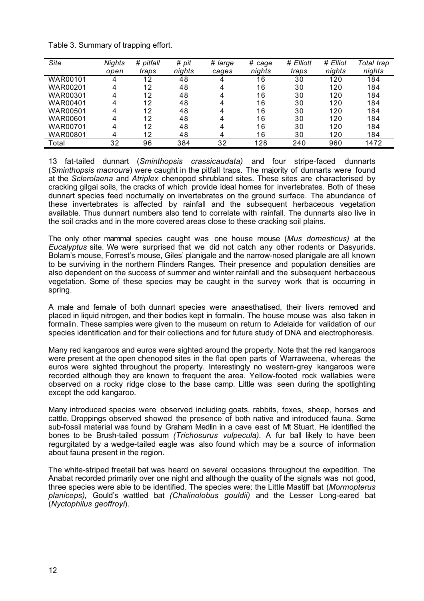| Table 3. Summary of trapping effort. |  |  |
|--------------------------------------|--|--|
|                                      |  |  |

| Site            | <b>Nights</b> | # pitfall | #<br>pit | # large | # cage | # Elliott | # Elliot | Total trap |
|-----------------|---------------|-----------|----------|---------|--------|-----------|----------|------------|
|                 | open          | traps     | nights   | cages   | nights | traps     | nights   | nights     |
| WAR00101        |               | 12        | 48       |         | 16     | 30        | 120      | 184        |
| WAR00201        | Δ             | 12        | 48       | 4       | 16     | 30        | 120      | 184        |
| WAR00301        |               | 12        | 48       | 4       | 16     | 30        | 120      | 184        |
| WAR00401        |               | 12        | 48       | 4       | 16     | 30        | 120      | 184        |
| <b>WAR00501</b> | 4             | 12        | 48       | 4       | 16     | 30        | 120      | 184        |
| WAR00601        | 4             | 12        | 48       | 4       | 16     | 30        | 120      | 184        |
| WAR00701        | Λ             | 12        | 48       | Δ       | 16     | 30        | 120      | 184        |
| WAR00801        |               | 12        | 48       |         | 16     | 30        | 120      | 184        |
| Total           | 32            | 96        | 384      | 32      | 128    | 240       | 960      | 1472       |

13 fat-tailed dunnart (*Sminthopsis crassicaudata)* and four stripe-faced dunnarts (*Sminthopsis macroura*) were caught in the pitfall traps. The majority of dunnarts were found at the *Sclerolaena* and *Atriplex* chenopod shrubland sites. These sites are characterised by cracking gilgai soils, the cracks of which provide ideal homes for invertebrates. Both of these dunnart species feed nocturnally on invertebrates on the ground surface. The abundance of these invertebrates is affected by rainfall and the subsequent herbaceous vegetation available. Thus dunnart numbers also tend to correlate with rainfall. The dunnarts also live in the soil cracks and in the more covered areas close to these cracking soil plains.

The only other mammal species caught was one house mouse (*Mus domesticus)* at the *Eucalyptus* site. We were surprised that we did not catch any other rodents or Dasyurids. Bolam's mouse, Forrest's mouse, Giles' planigale and the narrow-nosed planigale are all known to be surviving in the northern Flinders Ranges. Their presence and population densities are also dependent on the success of summer and winter rainfall and the subsequent herbaceous vegetation. Some of these species may be caught in the survey work that is occurring in spring.

A male and female of both dunnart species were anaesthatised, their livers removed and placed in liquid nitrogen, and their bodies kept in formalin. The house mouse was also taken in formalin. These samples were given to the museum on return to Adelaide for validation of our species identification and for their collections and for future study of DNA and electrophoresis.

Many red kangaroos and euros were sighted around the property. Note that the red kangaroos were present at the open chenopod sites in the flat open parts of Warraweena, whereas the euros were sighted throughout the property. Interestingly no western-grey kangaroos were recorded although they are known to frequent the area. Yellow-footed rock wallabies were observed on a rocky ridge close to the base camp. Little was seen during the spotlighting except the odd kangaroo.

Many introduced species were observed including goats, rabbits, foxes, sheep, horses and cattle. Droppings observed showed the presence of both native and introduced fauna. Some sub-fossil material was found by Graham Medlin in a cave east of Mt Stuart. He identified the bones to be Brush-tailed possum *(Trichosurus vulpecula).* A fur ball likely to have been regurgitated by a wedge-tailed eagle was also found which may be a source of information about fauna present in the region.

The white-striped freetail bat was heard on several occasions throughout the expedition. The Anabat recorded primarily over one night and although the quality of the signals was not good, three species were able to be identified. The species were: the Little Mastiff bat (*Mormopterus planiceps),* Gould's wattled bat *(Chalinolobus gouldii)* and the Lesser Long-eared bat (*Nyctophilus geoffroyi*).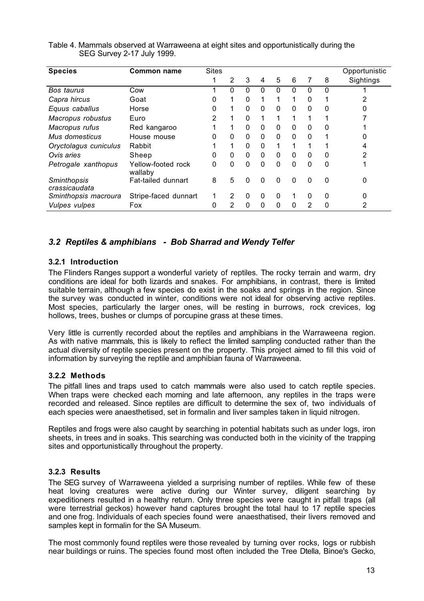| <b>Species</b>                      | <b>Common name</b>            | <b>Sites</b> |                |              |              |              |          |              |   | Opportunistic |
|-------------------------------------|-------------------------------|--------------|----------------|--------------|--------------|--------------|----------|--------------|---|---------------|
|                                     |                               |              | 2              | 3            | 4            | 5            | 6        |              | 8 | Sightings     |
| Bos taurus                          | Cow                           |              | 0              | $\Omega$     | 0            | 0            | 0        | 0            | 0 |               |
| Capra hircus                        | Goat                          | 0            | 1              | $\mathbf{0}$ |              | 1            | 1        | $\mathbf{0}$ |   |               |
| Equus caballus                      | Horse                         | 0            | 1              | $\mathbf{0}$ | $\mathbf{0}$ | $\mathbf{0}$ | $\Omega$ | $\Omega$     | 0 |               |
| Macropus robustus                   | Euro                          | 2            | 1              | $\Omega$     | 1            | 1            | 1        |              |   |               |
| Macropus rufus                      | Red kangaroo                  |              | 1              | $\mathbf{0}$ | $\mathbf{0}$ | 0            | 0        | $\mathbf{0}$ | 0 |               |
| Mus domesticus                      | House mouse                   | 0            | $\Omega$       | $\Omega$     | $\Omega$     | $\Omega$     | $\Omega$ | $\Omega$     |   |               |
| Oryctolagus cuniculus               | Rabbit                        |              | $\mathbf 1$    | $\Omega$     | $\Omega$     | 1            | 1        |              |   |               |
| Ovis aries                          | Sheep                         | 0            | $\mathbf{0}$   | $\mathbf{0}$ | $\mathbf{0}$ | $\mathbf{0}$ | 0        | $\Omega$     | 0 |               |
| Petrogale xanthopus                 | Yellow-footed rock<br>wallaby | 0            | $\Omega$       | $\Omega$     | $\Omega$     | $\Omega$     | $\Omega$ | $\Omega$     | 0 |               |
| <b>Sminthopsis</b><br>crassicaudata | Fat-tailed dunnart            | 8            | 5              | $\Omega$     | $\Omega$     | $\Omega$     | $\Omega$ | $\Omega$     | 0 | 0             |
| Sminthopsis macroura                | Stripe-faced dunnart          | 1            | $\overline{2}$ | $\mathbf 0$  | $\mathbf 0$  | 0            | 1        | $\Omega$     | 0 |               |
| <b>Vulpes vulpes</b>                | Fox                           | 0            | $\overline{2}$ | $\mathbf{0}$ | $\mathbf{0}$ | 0            | $\Omega$ | 2            | 0 | 2             |

#### Table 4. Mammals observed at Warraweena at eight sites and opportunistically during the SEG Survey 2-17 July 1999.

# *3.2 Reptiles & amphibians - Bob Sharrad and Wendy Telfer*

# **3.2.1 Introduction**

The Flinders Ranges support a wonderful variety of reptiles. The rocky terrain and warm, dry conditions are ideal for both lizards and snakes. For amphibians, in contrast, there is limited suitable terrain, although a few species do exist in the soaks and springs in the region. Since the survey was conducted in winter, conditions were not ideal for observing active reptiles. Most species, particularly the larger ones, will be resting in burrows, rock crevices, log hollows, trees, bushes or clumps of porcupine grass at these times.

Very little is currently recorded about the reptiles and amphibians in the Warraweena region. As with native mammals, this is likely to reflect the limited sampling conducted rather than the actual diversity of reptile species present on the property. This project aimed to fill this void of information by surveying the reptile and amphibian fauna of Warraweena.

# **3.2.2 Methods**

The pitfall lines and traps used to catch mammals were also used to catch reptile species. When traps were checked each morning and late afternoon, any reptiles in the traps were recorded and released. Since reptiles are difficult to determine the sex of, two individuals of each species were anaesthetised, set in formalin and liver samples taken in liquid nitrogen.

Reptiles and frogs were also caught by searching in potential habitats such as under logs, iron sheets, in trees and in soaks. This searching was conducted both in the vicinity of the trapping sites and opportunistically throughout the property.

# **3.2.3 Results**

The SEG survey of Warraweena yielded a surprising number of reptiles. While few of these heat loving creatures were active during our Winter survey, diligent searching by expeditioners resulted in a healthy return. Only three species were caught in pitfall traps (all were terrestrial geckos) however hand captures brought the total haul to 17 reptile species and one frog. Individuals of each species found were anaesthatised, their livers removed and samples kept in formalin for the SA Museum.

The most commonly found reptiles were those revealed by turning over rocks, logs or rubbish near buildings or ruins. The species found most often included the Tree Dtella, Binoe's Gecko,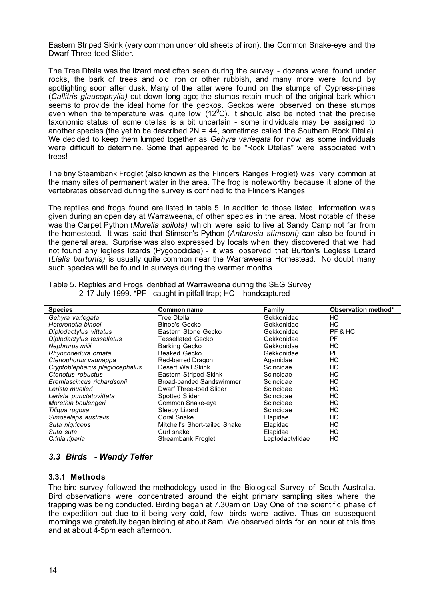Eastern Striped Skink (very common under old sheets of iron), the Common Snake-eye and the Dwarf Three-toed Slider.

The Tree Dtella was the lizard most often seen during the survey - dozens were found under rocks, the bark of trees and old iron or other rubbish, and many more were found by spotlighting soon after dusk. Many of the latter were found on the stumps of Cypress-pines (*Callitris glaucophylla)* cut down long ago; the stumps retain much of the original bark which seems to provide the ideal home for the geckos. Geckos were observed on these stumps even when the temperature was quite low (12 $^{\circ}$ C). It should also be noted that the precise taxonomic status of some dtellas is a bit uncertain - some individuals may be assigned to another species (the yet to be described  $2N = 44$ , sometimes called the Southern Rock Dtella). We decided to keep them lumped together as *Gehyra variegata* for now as some individuals were difficult to determine. Some that appeared to be "Rock Dtellas" were associated with trees!

The tiny Steambank Froglet (also known as the Flinders Ranges Froglet) was very common at the many sites of permanent water in the area. The frog is noteworthy because it alone of the vertebrates observed during the survey is confined to the Flinders Ranges.

The reptiles and frogs found are listed in table 5. In addition to those listed, information was given during an open day at Warraweena, of other species in the area. Most notable of these was the Carpet Python (*Morelia spilota)* which were said to live at Sandy Camp not far from the homestead. It was said that Stimson's Python (*Antaresia stimsoni)* can also be found in the general area. Surprise was also expressed by locals when they discovered that we had not found any legless lizards (Pygopodidae) - it was observed that Burton's Legless Lizard (*Lialis burtonis)* is usually quite common near the Warraweena Homestead. No doubt many such species will be found in surveys during the warmer months.

| <b>Species</b>                 | Common name                   | Family          | Observation method* |
|--------------------------------|-------------------------------|-----------------|---------------------|
| Gehyra variegata               | Tree Dtella                   | Gekkonidae      | HC.                 |
| Heteronotia binoei             | Binoe's Gecko                 | Gekkonidae      | НC                  |
| Diplodactylus vittatus         | Eastern Stone Gecko           | Gekkonidae      | PF & HC             |
| Diplodactylus tessellatus      | Tessellated Gecko             | Gekkonidae      | PF                  |
| Nephrurus milii                | <b>Barking Gecko</b>          | Gekkonidae      | НC                  |
| Rhynchoedura ornata            | Beaked Gecko                  | Gekkonidae      | PF                  |
| Ctenophorus vadnappa           | Red-barred Dragon             | Agamidae        | НC                  |
| Cryptoblepharus plagiocephalus | Desert Wall Skink             | Scincidae       | HС                  |
| Ctenotus robustus              | Eastern Striped Skink         | Scincidae       | НC                  |
| Eremiascincus richardsonii     | Broad-banded Sandswimmer      | Scincidae       | НC                  |
| Lerista muelleri               | Dwarf Three-toed Slider       | Scincidae       | НC                  |
| Lerista punctatovittata        | <b>Spotted Slider</b>         | Scincidae       | НC                  |
| Morethia boulengeri            | Common Snake-eye              | Scincidae       | НC                  |
| Tiliqua ruqosa                 | Sleepy Lizard                 | Scincidae       | НC                  |
| Simoselaps australis           | Coral Snake                   | Elapidae        | НC                  |
| Suta nigriceps                 | Mitchell's Short-tailed Snake | Elapidae        | HС                  |
| Suta suta                      | Curl snake                    | Elapidae        | НC                  |
| Crinia riparia                 | Streambank Froglet            | Leptodactylidae | HС                  |

Table 5. Reptiles and Frogs identified at Warraweena during the SEG Survey 2-17 July 1999. \*PF - caught in pitfall trap; HC – handcaptured

# *3.3 Birds - Wendy Telfer*

#### **3.3.1 Methods**

The bird survey followed the methodology used in the Biological Survey of South Australia. Bird observations were concentrated around the eight primary sampling sites where the trapping was being conducted. Birding began at 7.30am on Day One of the scientific phase of the expedition but due to it being very cold, few birds were active. Thus on subsequent mornings we gratefully began birding at about 8am. We observed birds for an hour at this time and at about 4-5pm each afternoon.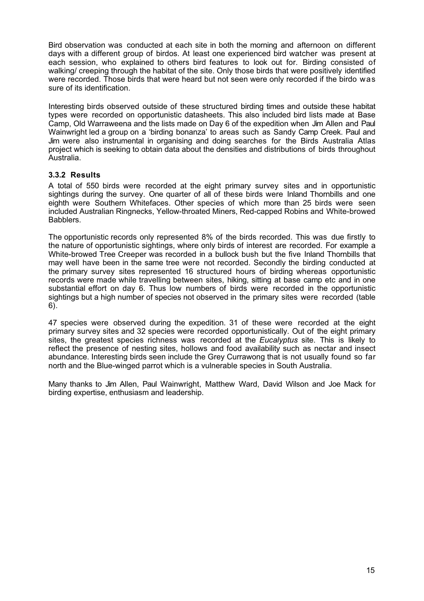Bird observation was conducted at each site in both the morning and afternoon on different days with a different group of birdos. At least one experienced bird watcher was present at each session, who explained to others bird features to look out for. Birding consisted of walking/ creeping through the habitat of the site. Only those birds that were positively identified were recorded. Those birds that were heard but not seen were only recorded if the birdo was sure of its identification.

Interesting birds observed outside of these structured birding times and outside these habitat types were recorded on opportunistic datasheets. This also included bird lists made at Base Camp, Old Warraweena and the lists made on Day 6 of the expedition when Jim Allen and Paul Wainwright led a group on a 'birding bonanza' to areas such as Sandy Camp Creek. Paul and Jim were also instrumental in organising and doing searches for the Birds Australia Atlas project which is seeking to obtain data about the densities and distributions of birds throughout Australia.

# **3.3.2 Results**

A total of 550 birds were recorded at the eight primary survey sites and in opportunistic sightings during the survey. One quarter of all of these birds were Inland Thornbills and one eighth were Southern Whitefaces. Other species of which more than 25 birds were seen included Australian Ringnecks, Yellow-throated Miners, Red-capped Robins and White-browed Babblers.

The opportunistic records only represented 8% of the birds recorded. This was due firstly to the nature of opportunistic sightings, where only birds of interest are recorded. For example a White-browed Tree Creeper was recorded in a bullock bush but the five Inland Thornbills that may well have been in the same tree were not recorded. Secondly the birding conducted at the primary survey sites represented 16 structured hours of birding whereas opportunistic records were made while travelling between sites, hiking, sitting at base camp etc and in one substantial effort on day 6. Thus low numbers of birds were recorded in the opportunistic sightings but a high number of species not observed in the primary sites were recorded (table 6).

47 species were observed during the expedition. 31 of these were recorded at the eight primary survey sites and 32 species were recorded opportunistically. Out of the eight primary sites, the greatest species richness was recorded at the *Eucalyptus* site. This is likely to reflect the presence of nesting sites, hollows and food availability such as nectar and insect abundance. Interesting birds seen include the Grey Currawong that is not usually found so far north and the Blue-winged parrot which is a vulnerable species in South Australia.

Many thanks to Jim Allen, Paul Wainwright, Matthew Ward, David Wilson and Joe Mack for birding expertise, enthusiasm and leadership.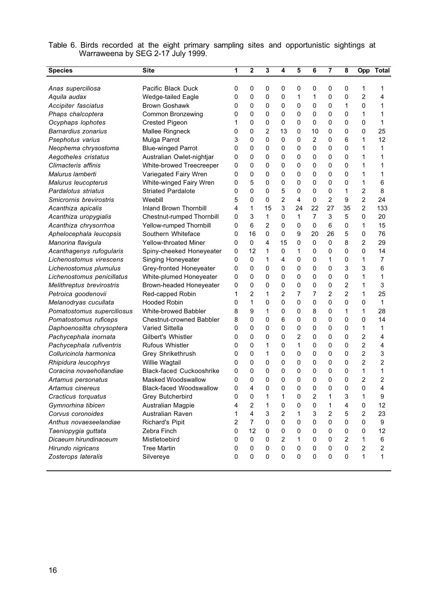| <b>Species</b>             | <b>Site</b>                     | 1 | 2              | 3  | 4              | 5  | 6  | 7           | 8              | Opp            | <b>Total</b>   |
|----------------------------|---------------------------------|---|----------------|----|----------------|----|----|-------------|----------------|----------------|----------------|
|                            |                                 |   |                |    |                |    |    |             |                |                |                |
| Anas superciliosa          | Pacific Black Duck              | 0 | 0              | 0  | 0              | 0  | 0  | 0           | 0              | 1              | 1              |
| Aquila audax               | Wedge-tailed Eagle              | 0 | 0              | 0  | 0              | 1  | 1  | 0           | 0              | $\overline{2}$ | 4              |
| Accipiter fasciatus        | <b>Brown Goshawk</b>            | 0 | 0              | 0  | 0              | 0  | 0  | 0           | 1              | 0              | 1              |
| Phaps chalcoptera          | <b>Common Bronzewing</b>        | 0 | 0              | 0  | 0              | 0  | 0  | 0           | 0              | 1              | 1              |
| Ocyphaps lophotes          | <b>Crested Pigeon</b>           | 1 | 0              | 0  | 0              | 0  | 0  | 0           | 0              | 0              | 1              |
| <b>Barnardius zonarius</b> | Mallee Ringneck                 | 0 | 0              | 2  | 13             | 0  | 10 | 0           | 0              | 0              | 25             |
| Psephotus varius           | Mulga Parrot                    | 3 | 0              | 0  | 0              | 0  | 2  | 0           | 6              | 1              | 12             |
| Neophema chrysostoma       | <b>Blue-winged Parrot</b>       | 0 | 0              | 0  | 0              | 0  | 0  | 0           | 0              | 1              | 1              |
| Aegotheles cristatus       | Australian Owlet-nightjar       | 0 | 0              | 0  | 0              | 0  | 0  | 0           | 0              | 1              | 1              |
| Climacteris affinis        | White-browed Treecreeper        | 0 | 0              | 0  | 0              | 0  | 0  | 0           | 0              | 1              | 1              |
| Malurus lamberti           | Variegated Fairy Wren           | 0 | 0              | 0  | 0              | 0  | 0  | 0           | 0              | 1              | 1              |
| Malurus leucopterus        | White-winged Fairy Wren         | 0 | 5              | 0  | 0              | 0  | 0  | 0           | 0              | 1              | 6              |
| Pardalotus striatus        | <b>Striated Pardalote</b>       | 0 | 0              | 0  | 5              | 0  | 0  | 0           | 1              | 2              | 8              |
| Smicrornis brevirostris    | Weebill                         | 5 | 0              | 0  | 2              | 4  | 0  | 2           | 9              | $\overline{2}$ | 24             |
| Acanthiza apicalis         | Inland Brown Thornbill          | 4 | 1              | 15 | 3              | 24 | 22 | 27          | 35             | $\overline{c}$ | 133            |
| Acanthiza uropygialis      | Chestnut-rumped Thornbill       | 0 | 3              | 1  | 0              | 1  | 7  | 3           | 5              | 0              | 20             |
| Acanthiza chrysorrhoa      | Yellow-rumped Thornbill         | 0 | 6              | 2  | 0              | 0  | 0  | 6           | 0              | 1              | 15             |
| Aphelocephala leucopsis    | Southern Whiteface              | 0 | 16             | 0  | 0              | 9  | 20 | 26          | 5              | 0              | 76             |
| Manorina flavigula         | <b>Yellow-throated Miner</b>    | 0 | 0              | 4  | 15             | 0  | 0  | 0           | 8              | 2              | 29             |
| Acanthagenys rufogularis   | Spiny-cheeked Honeyeater        | 0 | 12             | 1  | 0              | 1  | 0  | 0           | 0              | $\Omega$       | 14             |
| Lichenostomus virescens    | Singing Honeyeater              | 0 | 0              | 1  | 4              | 0  | 0  | 1           | 0              | 1              | 7              |
| Lichenostomus plumulus     | Grey-fronted Honeyeater         | 0 | 0              | 0  | 0              | 0  | 0  | 0           | 3              | 3              | 6              |
| Lichenostomus penicillatus | White-plumed Honeyeater         | 0 | 0              | 0  | 0              | 0  | 0  | 0           | 0              | 1              | 1              |
| Melithreptus brevirostris  | Brown-headed Honeyeater         | 0 | 0              | 0  | 0              | 0  | 0  | 0           | $\overline{2}$ | 1              | 3              |
| Petroica goodenovii        | Red-capped Robin                | 1 | 2              | 1  | 2              | 7  | 7  | 2           | $\overline{2}$ | 1              | 25             |
| Melanodryas cucullata      | <b>Hooded Robin</b>             | 0 | 1              | 0  | $\mathbf{0}$   | 0  | 0  | 0           | 0              | 0              | 1              |
| Pomatostomus superciliosus | White-browed Babbler            | 8 | 9              | 1  | 0              | 0  | 8  | 0           | 1              | 1              | 28             |
| Pomatostomus ruficeps      | <b>Chestnut-crowned Babbler</b> | 8 | 0              | 0  | 6              | 0  | 0  | 0           | 0              | 0              | 14             |
| Daphoenositta chrysoptera  | Varied Sittella                 | 0 | 0              | 0  | 0              | 0  | 0  | 0           | 0              | 1              | 1              |
| Pachycephala inornata      | Gilbert's Whistler              | 0 | 0              | 0  | 0              | 2  | 0  | 0           | 0              | 2              | 4              |
| Pachycephala rufiventris   | Rufous Whistler                 | 0 | 0              | 1  | 0              | 1  | 0  | 0           | 0              | $\overline{2}$ | 4              |
| Colluricincla harmonica    | Grey Shrikethrush               | 0 | 0              | 1  | 0              | 0  | 0  | 0           | 0              | $\overline{2}$ | 3              |
| Rhipidura leucophrys       | Willie Wagtail                  | 0 | 0              | 0  | 0              | 0  | 0  | 0           | 0              | $\overline{2}$ | 2              |
| Coracina novaehollandiae   | <b>Black-faced Cuckooshrike</b> | 0 | 0              | 0  | 0              | 0  | 0  | 0           | 0              | 1              | 1              |
| Artamus personatus         | Masked Woodswallow              | 0 | 0              | 0  | 0              | 0  | 0  | 0           | 0              | $\overline{2}$ | 2              |
| Artamus cinereus           | <b>Black-faced Woodswallow</b>  | 0 | 4              | 0  | 0              | 0  | 0  | 0           | 0              | 0              | 4              |
| Cracticus torquatus        | Grey Butcherbird                | 0 | 0              | 1  | 1              | 0  | 2  | 1           | 3              | 1              | 9              |
| Gymnorhina tibicen         | Australian Magpie               | 4 | $\overline{2}$ | 1  | 0              | 0  | 0  | 1           | 4              | 0              | 12             |
| Corvus coronoides          | Australian Raven                | 1 | 4              | 3  | $\overline{c}$ | 1  | 3  | 2           | 5              | $\overline{2}$ | 23             |
| Anthus novaeseelandiae     | Richard's Pipit                 | 2 | $\overline{7}$ | 0  | 0              | 0  | 0  | 0           | 0              | 0              | 9              |
| Taeniopygia guttata        | Zebra Finch                     | 0 | 12             | 0  | 0              | 0  | 0  | 0           | 0              | 0              | 12             |
| Dicaeum hirundinaceum      | Mistletoebird                   | 0 | 0              | 0  | 2              | 1  | 0  | 0           | $\overline{2}$ | 1              | 6              |
| Hirundo nigricans          | <b>Tree Martin</b>              | 0 | 0              | 0  | 0              | 0  | 0  | 0           | 0              | 2              | $\overline{c}$ |
| Zosterops lateralis        | Silvereye                       | 0 | $\mathbf 0$    | 0  | 0              | 0  | 0  | $\mathbf 0$ | 0              | 1              | 1              |
|                            |                                 |   |                |    |                |    |    |             |                |                |                |

Table 6. Birds recorded at the eight primary sampling sites and opportunistic sightings at Warraweena by SEG 2-17 July 1999.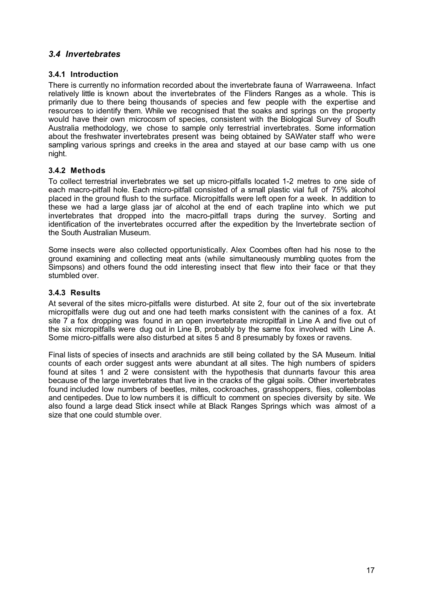# *3.4 Invertebrates*

# **3.4.1 Introduction**

There is currently no information recorded about the invertebrate fauna of Warraweena. Infact relatively little is known about the invertebrates of the Flinders Ranges as a whole. This is primarily due to there being thousands of species and few people with the expertise and resources to identify them. While we recognised that the soaks and springs on the property would have their own microcosm of species, consistent with the Biological Survey of South Australia methodology, we chose to sample only terrestrial invertebrates. Some information about the freshwater invertebrates present was being obtained by SAWater staff who were sampling various springs and creeks in the area and stayed at our base camp with us one night.

# **3.4.2 Methods**

To collect terrestrial invertebrates we set up micro-pitfalls located 1-2 metres to one side of each macro-pitfall hole. Each micro-pitfall consisted of a small plastic vial full of 75% alcohol placed in the ground flush to the surface. Micropitfalls were left open for a week. In addition to these we had a large glass jar of alcohol at the end of each trapline into which we put invertebrates that dropped into the macro-pitfall traps during the survey. Sorting and identification of the invertebrates occurred after the expedition by the Invertebrate section of the South Australian Museum.

Some insects were also collected opportunistically. Alex Coombes often had his nose to the ground examining and collecting meat ants (while simultaneously mumbling quotes from the Simpsons) and others found the odd interesting insect that flew into their face or that they stumbled over.

# **3.4.3 Results**

At several of the sites micro-pitfalls were disturbed. At site 2, four out of the six invertebrate micropitfalls were dug out and one had teeth marks consistent with the canines of a fox. At site 7 a fox dropping was found in an open invertebrate micropitfall in Line A and five out of the six micropitfalls were dug out in Line B, probably by the same fox involved with Line A. Some micro-pitfalls were also disturbed at sites 5 and 8 presumably by foxes or ravens.

Final lists of species of insects and arachnids are still being collated by the SA Museum. Initial counts of each order suggest ants were abundant at all sites. The high numbers of spiders found at sites 1 and 2 were consistent with the hypothesis that dunnarts favour this area because of the large invertebrates that live in the cracks of the gilgai soils. Other invertebrates found included low numbers of beetles, mites, cockroaches, grasshoppers, flies, collembolas and centipedes. Due to low numbers it is difficult to comment on species diversity by site. We also found a large dead Stick insect while at Black Ranges Springs which was almost of a size that one could stumble over.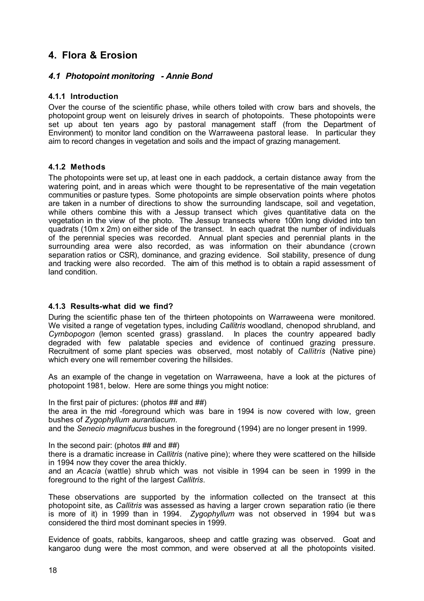# **4. Flora & Erosion**

# *4.1 Photopoint monitoring - Annie Bond*

# **4.1.1 Introduction**

Over the course of the scientific phase, while others toiled with crow bars and shovels, the photopoint group went on leisurely drives in search of photopoints. These photopoints were set up about ten years ago by pastoral management staff (from the Department of Environment) to monitor land condition on the Warraweena pastoral lease. In particular they aim to record changes in vegetation and soils and the impact of grazing management.

# **4.1.2 Methods**

The photopoints were set up, at least one in each paddock, a certain distance away from the watering point, and in areas which were thought to be representative of the main vegetation communities or pasture types. Some photopoints are simple observation points where photos are taken in a number of directions to show the surrounding landscape, soil and vegetation, while others combine this with a Jessup transect which gives quantitative data on the vegetation in the view of the photo. The Jessup transects where 100m long divided into ten quadrats (10m x 2m) on either side of the transect. In each quadrat the number of individuals of the perennial species was recorded. Annual plant species and perennial plants in the surrounding area were also recorded, as was information on their abundance (crown separation ratios or CSR), dominance, and grazing evidence. Soil stability, presence of dung and tracking were also recorded. The aim of this method is to obtain a rapid assessment of land condition.

# **4.1.3 Results-what did we find?**

During the scientific phase ten of the thirteen photopoints on Warraweena were monitored. We visited a range of vegetation types, including *Callitris* woodland, chenopod shrubland, and *Cymbopogon* (lemon scented grass) grassland. In places the country appeared badly degraded with few palatable species and evidence of continued grazing pressure. Recruitment of some plant species was observed, most notably of *Callitris* (Native pine) which every one will remember covering the hillsides.

As an example of the change in vegetation on Warraweena, have a look at the pictures of photopoint 1981, below. Here are some things you might notice:

In the first pair of pictures: (photos ## and ##)

the area in the mid -foreground which was bare in 1994 is now covered with low, green bushes of *Zygophyllum aurantiacum*.

and the *Senecio magnifucus* bushes in the foreground (1994) are no longer present in 1999.

In the second pair: (photos ## and ##)

there is a dramatic increase in *Callitris* (native pine); where they were scattered on the hillside in 1994 now they cover the area thickly.

and an *Acacia* (wattle) shrub which was not visible in 1994 can be seen in 1999 in the foreground to the right of the largest *Callitris*.

These observations are supported by the information collected on the transect at this photopoint site, as *Callitris* was assessed as having a larger crown separation ratio (ie there is more of it) in 1999 than in 1994. *Zygophyllum* was not observed in 1994 but was considered the third most dominant species in 1999.

Evidence of goats, rabbits, kangaroos, sheep and cattle grazing was observed. Goat and kangaroo dung were the most common, and were observed at all the photopoints visited.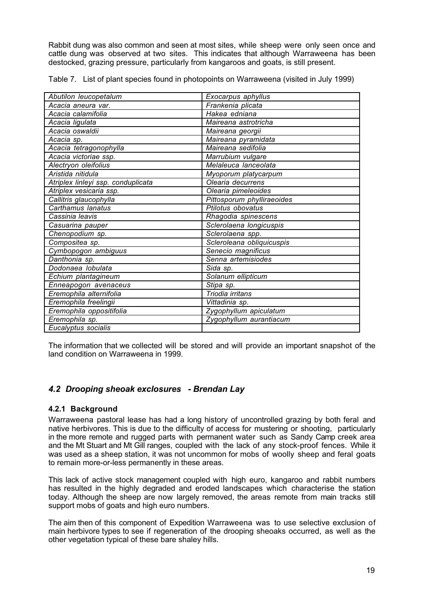Rabbit dung was also common and seen at most sites, while sheep were only seen once and cattle dung was observed at two sites. This indicates that although Warraweena has been destocked, grazing pressure, particularly from kangaroos and goats, is still present.

|  |  | Table 7. List of plant species found in photopoints on Warraweena (visited in July 1999) |  |  |  |
|--|--|------------------------------------------------------------------------------------------|--|--|--|
|--|--|------------------------------------------------------------------------------------------|--|--|--|

| Abutilon leucopetalum              | Exocarpus aphyllus         |
|------------------------------------|----------------------------|
| Acacia aneura var.                 | Frankenia plicata          |
| Acacia calamifolia                 | Hakea edniana              |
| Acacia ligulata                    | Maireana astrotricha       |
| Acacia oswaldii                    | Maireana georgii           |
| Acacia sp.                         | Maireana pyramidata        |
| Acacia tetragonophylla             | Maireana sedifolia         |
| Acacia victoriae ssp.              | Marrubium vulgare          |
| Alectryon oleifolius               | Melaleuca lanceolata       |
| Aristida nitidula                  | Myoporum platycarpum       |
| Atriplex linleyi ssp. conduplicata | Olearia decurrens          |
| Atriplex vesicaria ssp.            | Olearia pimeleoides        |
| Callitris glaucophylla             | Pittosporum phylliraeoides |
| Carthamus lanatus                  | Ptilotus obovatus          |
| Cassinia leavis                    | Rhagodia spinescens        |
| Casuarina pauper                   | Sclerolaena longicuspis    |
| Chenopodium sp.                    | Sclerolaena spp.           |
| Compositea sp.                     | Scleroleana obliquicuspis  |
| Cymbopogon ambiguus                | Senecio magnificus         |
| Danthonia sp.                      | Senna artemisiodes         |
| Dodonaea lobulata                  | Sida sp.                   |
| Echium plantagineum                | Solanum ellipticum         |
| Enneapogon avenaceus               | Stipa sp.                  |
| Eremophila alternifolia            | Triodia irritans           |
| Eremophila freelingii              | Vittadinia sp.             |
| Eremophila oppositifolia           | Zygophyllum apiculatum     |
| Eremophila sp.                     | Zygophyllum aurantiacum    |
| Eucalyptus socialis                |                            |

The information that we collected will be stored and will provide an important snapshot of the land condition on Warraweena in 1999.

# *4.2 Drooping sheoak exclosures - Brendan Lay*

# **4.2.1 Background**

Warraweena pastoral lease has had a long history of uncontrolled grazing by both feral and native herbivores. This is due to the difficulty of access for mustering or shooting, particularly in the more remote and rugged parts with permanent water such as Sandy Camp creek area and the Mt Stuart and Mt Gill ranges, coupled with the lack of any stock-proof fences. While it was used as a sheep station, it was not uncommon for mobs of woolly sheep and feral goats to remain more-or-less permanently in these areas.

This lack of active stock management coupled with high euro, kangaroo and rabbit numbers has resulted in the highly degraded and eroded landscapes which characterise the station today. Although the sheep are now largely removed, the areas remote from main tracks still support mobs of goats and high euro numbers.

The aim then of this component of Expedition Warraweena was to use selective exclusion of main herbivore types to see if regeneration of the drooping sheoaks occurred, as well as the other vegetation typical of these bare shaley hills.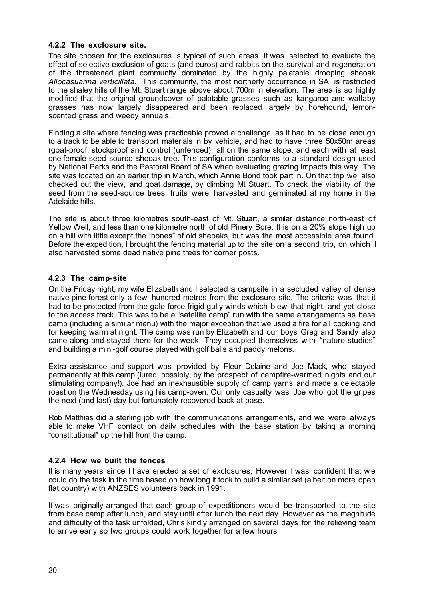#### **4.2.2 The exclosure site.**

The site chosen for the exclosures is typical of such areas. It was selected to evaluate the effect of selective exclusion of goats (and euros) and rabbits on the survival and regeneration of the threatened plant community dominated by the highly palatable drooping sheoak *Allocasuarina verticillata.* This community, the most northerly occurrence in SA, is restricted to the shaley hills of the Mt. Stuart range above about 700m in elevation. The area is so highly modified that the original groundcover of palatable grasses such as kangaroo and wallaby grasses has now largely disappeared and been replaced largely by horehound, lemonscented grass and weedy annuals.

Finding a site where fencing was practicable proved a challenge, as it had to be close enough to a track to be able to transport materials in by vehicle, and had to have three 50x50m areas (goat-proof, stockproof and control (unfenced), all on the same slope, and each with at least one female seed source sheoak tree. This configuration conforms to a standard design used by National Parks and the Pastoral Board of SA when evaluating grazing impacts this way. The site was located on an earlier trip in March, which Annie Bond took part in. On that trip we also checked out the view, and goat damage, by climbing Mt Stuart. To check the viability of the seed from the seed-source trees, fruits were harvested and germinated at my home in the Adelaide hills.

The site is about three kilometres south-east of Mt. Stuart, a similar distance north-east of Yellow Well, and less than one kilometre north of old Pinery Bore. It is on a 20% slope high up on a hill with little except the "bones" of old sheoaks, but was the most accessible area found. Before the expedition, I brought the fencing material up to the site on a second trip, on which I also harvested some dead native pine trees for corner posts.

# **4.2.3 The camp-site**

On the Friday night, my wife Elizabeth and I selected a campsite in a secluded valley of dense native pine forest only a few hundred metres from the exclosure site. The criteria was that it had to be protected from the gale-force frigid gully winds which blew that night, and yet close to the access track. This was to be a "satellite camp" run with the same arrangements as base camp (including a similar menu) with the major exception that we used a fire for all cooking and for keeping warm at night. The camp was run by Elizabeth and our boys Greg and Sandy also came along and stayed there for the week. They occupied themselves with "nature-studies" and building a mini-golf course played with golf balls and paddy melons.

Extra assistance and support was provided by Fleur Delaine and Joe Mack, who stayed permanently at this camp (lured, possibly, by the prospect of campfire-warmed nights and our stimulating company!). Joe had an inexhaustible supply of camp yarns and made a delectable roast on the Wednesday using his camp-oven. Our only casualty was Joe who got the gripes the next (and last) day but fortunately recovered back at base.

Rob Matthias did a sterling job with the communications arrangements, and we were always able to make VHF contact on daily schedules with the base station by taking a morning "constitutional" up the hill from the camp.

# **4.2.4 How we built the fences**

It is many years since I have erected a set of exclosures, However I was confident that w e could do the task in the time based on how long it took to build a similar set (albeit on more open flat country) with ANZSES volunteers back in 1991.

It was originally arranged that each group of expeditioners would be transported to the site from base camp after lunch, and stay until after lunch the next day. However as the magnitude and difficulty of the task unfolded, Chris kindly arranged on several days for the relieving team to arrive early so two groups could work together for a few hours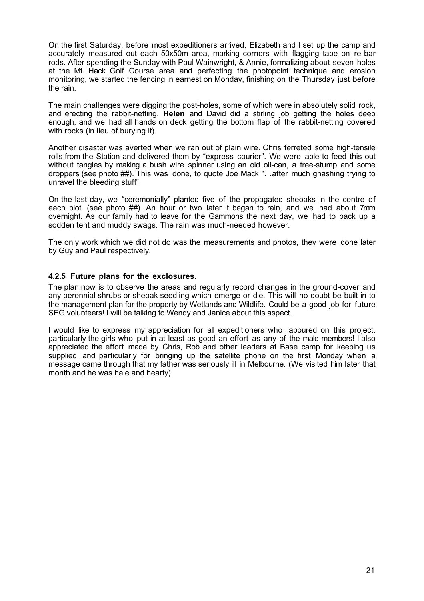On the first Saturday, before most expeditioners arrived, Elizabeth and I set up the camp and accurately measured out each 50x50m area, marking corners with flagging tape on re-bar rods. After spending the Sunday with Paul Wainwright, & Annie, formalizing about seven holes at the Mt. Hack Golf Course area and perfecting the photopoint technique and erosion monitoring, we started the fencing in earnest on Monday, finishing on the Thursday just before the rain.

The main challenges were digging the post-holes, some of which were in absolutely solid rock, and erecting the rabbit-netting. **Helen** and David did a stirling job getting the holes deep enough, and we had all hands on deck getting the bottom flap of the rabbit-netting covered with rocks (in lieu of burying it).

Another disaster was averted when we ran out of plain wire. Chris ferreted some high-tensile rolls from the Station and delivered them by "express courier". We were able to feed this out without tangles by making a bush wire spinner using an old oil-can, a tree-stump and some droppers (see photo ##). This was done, to quote Joe Mack "…after much gnashing trying to unravel the bleeding stuff".

On the last day, we "ceremonially" planted five of the propagated sheoaks in the centre of each plot. (see photo ##). An hour or two later it began to rain, and we had about 7mm overnight. As our family had to leave for the Gammons the next day, we had to pack up a sodden tent and muddy swags. The rain was much-needed however.

The only work which we did not do was the measurements and photos, they were done later by Guy and Paul respectively.

# **4.2.5 Future plans for the exclosures.**

The plan now is to observe the areas and regularly record changes in the ground-cover and any perennial shrubs or sheoak seedling which emerge or die. This will no doubt be built in to the management plan for the property by Wetlands and Wildlife. Could be a good job for future SEG volunteers! I will be talking to Wendy and Janice about this aspect.

I would like to express my appreciation for all expeditioners who laboured on this project, particularly the girls who put in at least as good an effort as any of the male members! I also appreciated the effort made by Chris, Rob and other leaders at Base camp for keeping us supplied, and particularly for bringing up the satellite phone on the first Monday when a message came through that my father was seriously ill in Melbourne. (We visited him later that month and he was hale and hearty).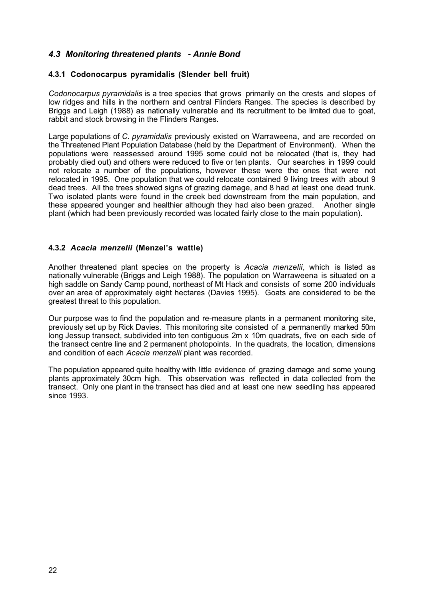# *4.3 Monitoring threatened plants - Annie Bond*

# **4.3.1 Codonocarpus pyramidalis (Slender bell fruit)**

*Codonocarpus pyramidalis* is a tree species that grows primarily on the crests and slopes of low ridges and hills in the northern and central Flinders Ranges. The species is described by Briggs and Leigh (1988) as nationally vulnerable and its recruitment to be limited due to goat, rabbit and stock browsing in the Flinders Ranges.

Large populations of *C. pyramidalis* previously existed on Warraweena, and are recorded on the Threatened Plant Population Database (held by the Department of Environment). When the populations were reassessed around 1995 some could not be relocated (that is, they had probably died out) and others were reduced to five or ten plants. Our searches in 1999 could not relocate a number of the populations, however these were the ones that were not relocated in 1995. One population that we could relocate contained 9 living trees with about 9 dead trees. All the trees showed signs of grazing damage, and 8 had at least one dead trunk. Two isolated plants were found in the creek bed downstream from the main population, and these appeared younger and healthier although they had also been grazed. Another single plant (which had been previously recorded was located fairly close to the main population).

# **4.3.2** *Acacia menzelii* **(Menzel's wattle)**

Another threatened plant species on the property is *Acacia menzelii*, which is listed as nationally vulnerable (Briggs and Leigh 1988). The population on Warraweena is situated on a high saddle on Sandy Camp pound, northeast of Mt Hack and consists of some 200 individuals over an area of approximately eight hectares (Davies 1995). Goats are considered to be the greatest threat to this population.

Our purpose was to find the population and re-measure plants in a permanent monitoring site, previously set up by Rick Davies. This monitoring site consisted of a permanently marked 50m long Jessup transect, subdivided into ten contiguous 2m x 10m quadrats, five on each side of the transect centre line and 2 permanent photopoints. In the quadrats, the location, dimensions and condition of each *Acacia menzelii* plant was recorded.

The population appeared quite healthy with little evidence of grazing damage and some young plants approximately 30cm high. This observation was reflected in data collected from the transect. Only one plant in the transect has died and at least one new seedling has appeared since 1993.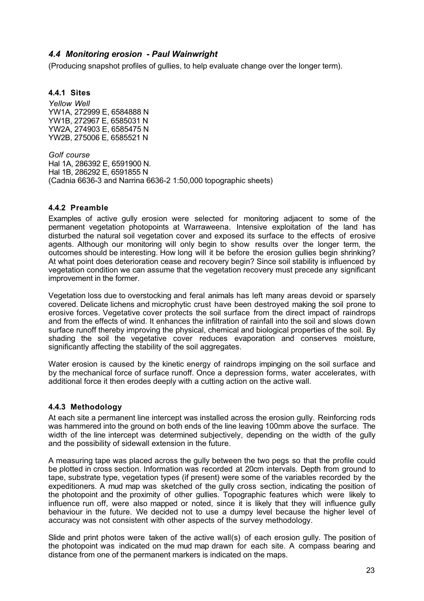# *4.4 Monitoring erosion - Paul Wainwright*

(Producing snapshot profiles of gullies, to help evaluate change over the longer term).

#### **4.4.1 Sites**

*Yellow Well* YW1A, 272999 E, 6584888 N YW1B, 272967 E, 6585031 N YW2A, 274903 E, 6585475 N YW2B, 275006 E, 6585521 N

*Golf course* Hal 1A, 286392 E, 6591900 N. Hal 1B, 286292 E, 6591855 N (Cadnia 6636-3 and Narrina 6636-2 1:50,000 topographic sheets)

# **4.4.2 Preamble**

Examples of active gully erosion were selected for monitoring adjacent to some of the permanent vegetation photopoints at Warraweena. Intensive exploitation of the land has disturbed the natural soil vegetation cover and exposed its surface to the effects of erosive agents. Although our monitoring will only begin to show results over the longer term, the outcomes should be interesting. How long will it be before the erosion gullies begin shrinking? At what point does deterioration cease and recovery begin? Since soil stability is influenced by vegetation condition we can assume that the vegetation recovery must precede any significant improvement in the former.

Vegetation loss due to overstocking and feral animals has left many areas devoid or sparsely covered. Delicate lichens and microphytic crust have been destroyed making the soil prone to erosive forces. Vegetative cover protects the soil surface from the direct impact of raindrops and from the effects of wind. It enhances the infiltration of rainfall into the soil and slows down surface runoff thereby improving the physical, chemical and biological properties of the soil. By shading the soil the vegetative cover reduces evaporation and conserves moisture, significantly affecting the stability of the soil aggregates.

Water erosion is caused by the kinetic energy of raindrops impinging on the soil surface and by the mechanical force of surface runoff. Once a depression forms, water accelerates, with additional force it then erodes deeply with a cutting action on the active wall.

# **4.4.3 Methodology**

At each site a permanent line intercept was installed across the erosion gully. Reinforcing rods was hammered into the ground on both ends of the line leaving 100mm above the surface. The width of the line intercept was determined subjectively, depending on the width of the gully and the possibility of sidewall extension in the future.

A measuring tape was placed across the gully between the two pegs so that the profile could be plotted in cross section. Information was recorded at 20cm intervals. Depth from ground to tape, substrate type, vegetation types (if present) were some of the variables recorded by the expeditioners. A mud map was sketched of the gully cross section, indicating the position of the photopoint and the proximity of other gullies. Topographic features which were likely to influence run off, were also mapped or noted, since it is likely that they will influence gully behaviour in the future. We decided not to use a dumpy level because the higher level of accuracy was not consistent with other aspects of the survey methodology.

Slide and print photos were taken of the active wall(s) of each erosion gully. The position of the photopoint was indicated on the mud map drawn for each site. A compass bearing and distance from one of the permanent markers is indicated on the maps.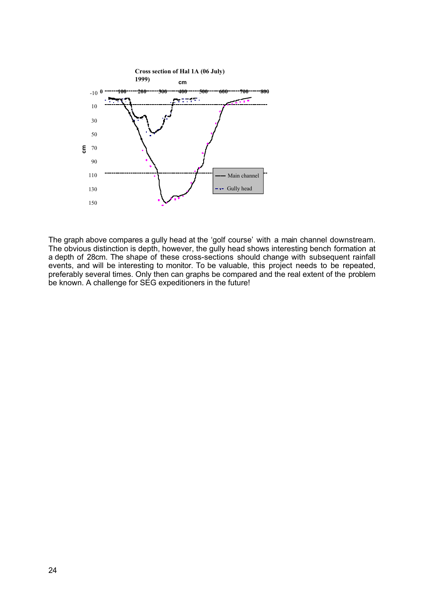

The graph above compares a gully head at the 'golf course' with a main channel downstream. The graph above compares a gaily head at the gon course with a main shame. Settime shows show the gully head shows interesting bench formation at a depth of 28cm. The shape of these cross-sections should change with subsequent rainfall events, and will be interesting to monitor. To be valuable, this project needs to be repeated, preferably several times. Only then can graphs be compared and the real extent of the problem be known. A challenge for SEG expeditioners in the future!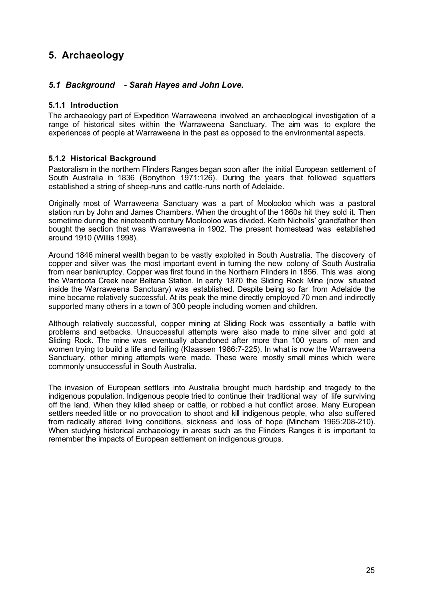# **5. Archaeology**

# *5.1 Background - Sarah Hayes and John Love.*

#### **5.1.1 Introduction**

The archaeology part of Expedition Warraweena involved an archaeological investigation of a range of historical sites within the Warraweena Sanctuary. The aim was to explore the experiences of people at Warraweena in the past as opposed to the environmental aspects.

#### **5.1.2 Historical Background**

Pastoralism in the northern Flinders Ranges began soon after the initial European settlement of South Australia in 1836 (Bonython 1971:126). During the years that followed squatters established a string of sheep-runs and cattle-runs north of Adelaide.

Originally most of Warraweena Sanctuary was a part of Moolooloo which was a pastoral station run by John and James Chambers. When the drought of the 1860s hit they sold it. Then sometime during the nineteenth century Moolooloo was divided. Keith Nicholls' grandfather then bought the section that was Warraweena in 1902. The present homestead was established around 1910 (Willis 1998).

Around 1846 mineral wealth began to be vastly exploited in South Australia. The discovery of copper and silver was the most important event in turning the new colony of South Australia from near bankruptcy. Copper was first found in the Northern Flinders in 1856. This was along the Warrioota Creek near Beltana Station. In early 1870 the Sliding Rock Mine (now situated inside the Warraweena Sanctuary) was established. Despite being so far from Adelaide the mine became relatively successful. At its peak the mine directly employed 70 men and indirectly supported many others in a town of 300 people including women and children.

Although relatively successful, copper mining at Sliding Rock was essentially a battle with problems and setbacks. Unsuccessful attempts were also made to mine silver and gold at Sliding Rock. The mine was eventually abandoned after more than 100 years of men and women trying to build a life and failing (Klaassen 1986:7-225). In what is now the Warraweena Sanctuary, other mining attempts were made. These were mostly small mines which were commonly unsuccessful in South Australia.

The invasion of European settlers into Australia brought much hardship and tragedy to the indigenous population. Indigenous people tried to continue their traditional way of life surviving off the land. When they killed sheep or cattle, or robbed a hut conflict arose. Many European settlers needed little or no provocation to shoot and kill indigenous people, who also suffered from radically altered living conditions, sickness and loss of hope (Mincham 1965:208-210). When studying historical archaeology in areas such as the Flinders Ranges it is important to remember the impacts of European settlement on indigenous groups.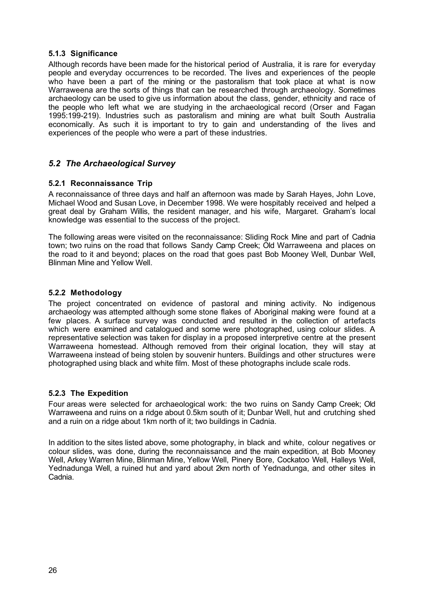# **5.1.3 Significance**

Although records have been made for the historical period of Australia, it is rare for everyday people and everyday occurrences to be recorded. The lives and experiences of the people who have been a part of the mining or the pastoralism that took place at what is now Warraweena are the sorts of things that can be researched through archaeology. Sometimes archaeology can be used to give us information about the class, gender, ethnicity and race of the people who left what we are studying in the archaeological record (Orser and Fagan 1995:199-219). Industries such as pastoralism and mining are what built South Australia economically. As such it is important to try to gain and understanding of the lives and experiences of the people who were a part of these industries.

# *5.2 The Archaeological Survey*

# **5.2.1 Reconnaissance Trip**

A reconnaissance of three days and half an afternoon was made by Sarah Hayes, John Love, Michael Wood and Susan Love, in December 1998. We were hospitably received and helped a great deal by Graham Willis, the resident manager, and his wife, Margaret. Graham's local knowledge was essential to the success of the project.

The following areas were visited on the reconnaissance: Sliding Rock Mine and part of Cadnia town; two ruins on the road that follows Sandy Camp Creek; Old Warraweena and places on the road to it and beyond; places on the road that goes past Bob Mooney Well, Dunbar Well, Blinman Mine and Yellow Well.

# **5.2.2 Methodology**

The project concentrated on evidence of pastoral and mining activity. No indigenous archaeology was attempted although some stone flakes of Aboriginal making were found at a few places. A surface survey was conducted and resulted in the collection of artefacts which were examined and catalogued and some were photographed, using colour slides. A representative selection was taken for display in a proposed interpretive centre at the present Warraweena homestead. Although removed from their original location, they will stay at Warraweena instead of being stolen by souvenir hunters. Buildings and other structures were photographed using black and white film. Most of these photographs include scale rods.

# **5.2.3 The Expedition**

Four areas were selected for archaeological work: the two ruins on Sandy Camp Creek; Old Warraweena and ruins on a ridge about 0.5km south of it; Dunbar Well, hut and crutching shed and a ruin on a ridge about 1km north of it; two buildings in Cadnia.

In addition to the sites listed above, some photography, in black and white, colour negatives or colour slides, was done, during the reconnaissance and the main expedition, at Bob Mooney Well, Arkey Warren Mine, Blinman Mine, Yellow Well, Pinery Bore, Cockatoo Well, Halleys Well, Yednadunga Well, a ruined hut and yard about 2km north of Yednadunga, and other sites in Cadnia.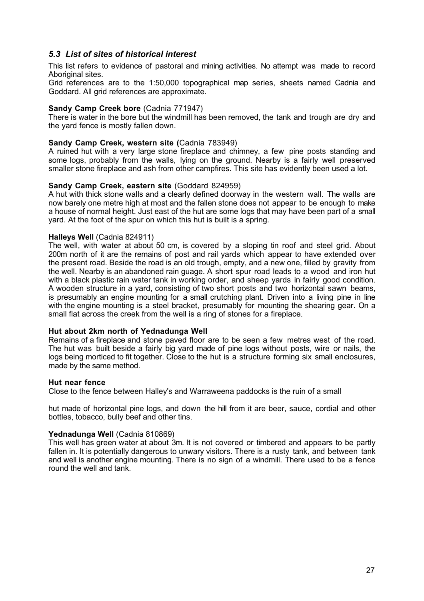# *5.3 List of sites of historical interest*

This list refers to evidence of pastoral and mining activities. No attempt was made to record Aboriginal sites.

Grid references are to the 1:50,000 topographical map series, sheets named Cadnia and Goddard. All grid references are approximate.

#### **Sandy Camp Creek bore** (Cadnia 771947)

There is water in the bore but the windmill has been removed, the tank and trough are dry and the yard fence is mostly fallen down.

#### **Sandy Camp Creek, western site (**Cadnia 783949)

A ruined hut with a very large stone fireplace and chimney, a few pine posts standing and some logs, probably from the walls, lying on the ground. Nearby is a fairly well preserved smaller stone fireplace and ash from other campfires. This site has evidently been used a lot.

#### **Sandy Camp Creek, eastern site** (Goddard 824959)

A hut with thick stone walls and a clearly defined doorway in the western wall. The walls are now barely one metre high at most and the fallen stone does not appear to be enough to make a house of normal height. Just east of the hut are some logs that may have been part of a small yard. At the foot of the spur on which this hut is built is a spring.

#### **Halleys Well** (Cadnia 824911)

The well, with water at about 50 cm, is covered by a sloping tin roof and steel grid. About 200m north of it are the remains of post and rail yards which appear to have extended over the present road. Beside the road is an old trough, empty, and a new one, filled by gravity from the well. Nearby is an abandoned rain guage. A short spur road leads to a wood and iron hut with a black plastic rain water tank in working order, and sheep yards in fairly good condition. A wooden structure in a yard, consisting of two short posts and two horizontal sawn beams, is presumably an engine mounting for a small crutching plant. Driven into a living pine in line with the engine mounting is a steel bracket, presumably for mounting the shearing gear. On a small flat across the creek from the well is a ring of stones for a fireplace.

#### **Hut about 2km north of Yednadunga Well**

Remains of a fireplace and stone paved floor are to be seen a few metres west of the road. The hut was built beside a fairly big yard made of pine logs without posts, wire or nails, the logs being morticed to fit together. Close to the hut is a structure forming six small enclosures, made by the same method.

#### **Hut near fence**

Close to the fence between Halley's and Warraweena paddocks is the ruin of a small

hut made of horizontal pine logs, and down the hill from it are beer, sauce, cordial and other bottles, tobacco, bully beef and other tins.

#### **Yednadunga Well** (Cadnia 810869)

This well has green water at about 3m. It is not covered or timbered and appears to be partly fallen in. It is potentially dangerous to unwary visitors. There is a rusty tank, and between tank and well is another engine mounting. There is no sign of a windmill. There used to be a fence round the well and tank.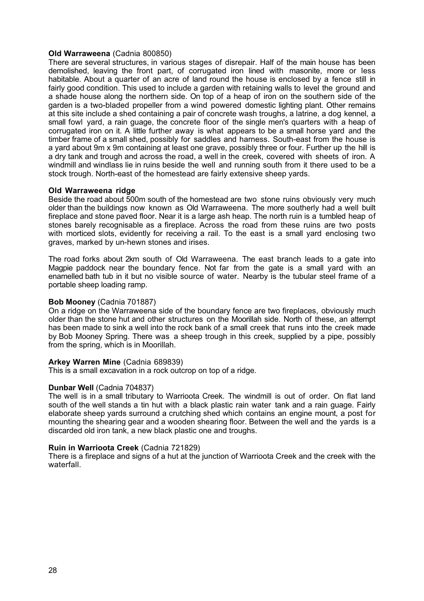#### **Old Warraweena** (Cadnia 800850)

There are several structures, in various stages of disrepair. Half of the main house has been demolished, leaving the front part, of corrugated iron lined with masonite, more or less habitable. About a quarter of an acre of land round the house is enclosed by a fence still in fairly good condition. This used to include a garden with retaining walls to level the ground and a shade house along the northern side. On top of a heap of iron on the southern side of the garden is a two-bladed propeller from a wind powered domestic lighting plant. Other remains at this site include a shed containing a pair of concrete wash troughs, a latrine, a dog kennel, a small fowl yard, a rain guage, the concrete floor of the single men's quarters with a heap of corrugated iron on it. A little further away is what appears to be a small horse yard and the timber frame of a small shed, possibly for saddles and harness. South-east from the house is a vard about 9m x 9m containing at least one grave, possibly three or four. Further up the hill is a dry tank and trough and across the road, a well in the creek, covered with sheets of iron. A windmill and windlass lie in ruins beside the well and running south from it there used to be a stock trough. North-east of the homestead are fairly extensive sheep yards.

#### **Old Warraweena ridge**

Beside the road about 500m south of the homestead are two stone ruins obviously very much older than the buildings now known as Old Warraweena. The more southerly had a well built fireplace and stone paved floor. Near it is a large ash heap. The north ruin is a tumbled heap of stones barely recognisable as a fireplace. Across the road from these ruins are two posts with morticed slots, evidently for receiving a rail. To the east is a small yard enclosing two graves, marked by un-hewn stones and irises.

The road forks about 2km south of Old Warraweena. The east branch leads to a gate into Magpie paddock near the boundary fence. Not far from the gate is a small yard with an enamelled bath tub in it but no visible source of water. Nearby is the tubular steel frame of a portable sheep loading ramp.

#### **Bob Mooney** (Cadnia 701887)

On a ridge on the Warraweena side of the boundary fence are two fireplaces, obviously much older than the stone hut and other structures on the Moorillah side. North of these, an attempt has been made to sink a well into the rock bank of a small creek that runs into the creek made by Bob Mooney Spring. There was a sheep trough in this creek, supplied by a pipe, possibly from the spring, which is in Moorillah.

#### **Arkey Warren Mine** (Cadnia 689839)

This is a small excavation in a rock outcrop on top of a ridge.

#### **Dunbar Well** (Cadnia 704837)

The well is in a small tributary to Warrioota Creek. The windmill is out of order. On flat land south of the well stands a tin hut with a black plastic rain water tank and a rain guage. Fairly elaborate sheep yards surround a crutching shed which contains an engine mount, a post for mounting the shearing gear and a wooden shearing floor. Between the well and the yards is a discarded old iron tank, a new black plastic one and troughs.

#### **Ruin in Warrioota Creek** (Cadnia 721829)

There is a fireplace and signs of a hut at the junction of Warrioota Creek and the creek with the waterfall.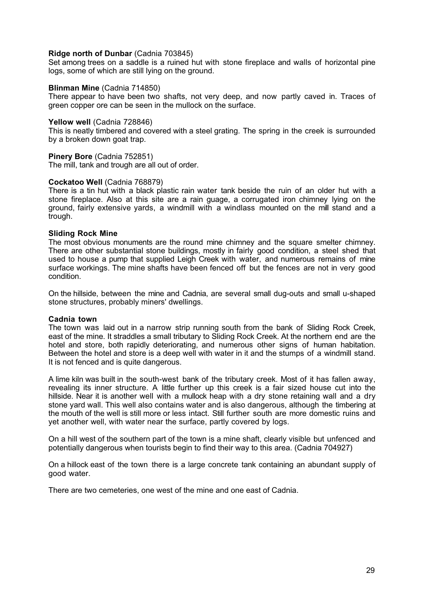#### **Ridge north of Dunbar** (Cadnia 703845)

Set among trees on a saddle is a ruined hut with stone fireplace and walls of horizontal pine logs, some of which are still lying on the ground.

#### **Blinman Mine** (Cadnia 714850)

There appear to have been two shafts, not very deep, and now partly caved in. Traces of green copper ore can be seen in the mullock on the surface.

#### **Yellow well** (Cadnia 728846)

This is neatly timbered and covered with a steel grating. The spring in the creek is surrounded by a broken down goat trap.

#### **Pinery Bore** (Cadnia 752851)

The mill, tank and trough are all out of order.

#### **Cockatoo Well** (Cadnia 768879)

There is a tin hut with a black plastic rain water tank beside the ruin of an older hut with a stone fireplace. Also at this site are a rain guage, a corrugated iron chimney lying on the ground, fairly extensive yards, a windmill with a windlass mounted on the mill stand and a trough.

#### **Sliding Rock Mine**

The most obvious monuments are the round mine chimney and the square smelter chimney. There are other substantial stone buildings, mostly in fairly good condition, a steel shed that used to house a pump that supplied Leigh Creek with water, and numerous remains of mine surface workings. The mine shafts have been fenced off but the fences are not in very good condition.

On the hillside, between the mine and Cadnia, are several small dug-outs and small u-shaped stone structures, probably miners' dwellings.

#### **Cadnia town**

The town was laid out in a narrow strip running south from the bank of Sliding Rock Creek, east of the mine. It straddles a small tributary to Sliding Rock Creek. At the northern end are the hotel and store, both rapidly deteriorating, and numerous other signs of human habitation. Between the hotel and store is a deep well with water in it and the stumps of a windmill stand. It is not fenced and is quite dangerous.

A lime kiln was built in the south-west bank of the tributary creek. Most of it has fallen away, revealing its inner structure. A little further up this creek is a fair sized house cut into the hillside. Near it is another well with a mullock heap with a dry stone retaining wall and a dry stone yard wall. This well also contains water and is also dangerous, although the timbering at the mouth of the well is still more or less intact. Still further south are more domestic ruins and yet another well, with water near the surface, partly covered by logs.

On a hill west of the southern part of the town is a mine shaft, clearly visible but unfenced and potentially dangerous when tourists begin to find their way to this area. (Cadnia 704927)

On a hillock east of the town there is a large concrete tank containing an abundant supply of good water.

There are two cemeteries, one west of the mine and one east of Cadnia.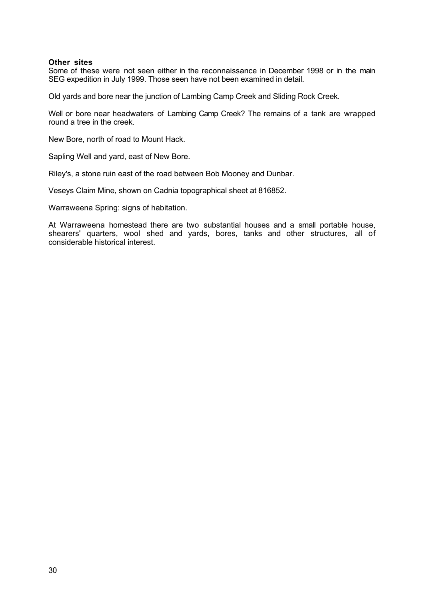#### **Other sites**

Some of these were not seen either in the reconnaissance in December 1998 or in the main SEG expedition in July 1999. Those seen have not been examined in detail.

Old yards and bore near the junction of Lambing Camp Creek and Sliding Rock Creek.

Well or bore near headwaters of Lambing Camp Creek? The remains of a tank are wrapped round a tree in the creek.

New Bore, north of road to Mount Hack.

Sapling Well and yard, east of New Bore.

Riley's, a stone ruin east of the road between Bob Mooney and Dunbar.

Veseys Claim Mine, shown on Cadnia topographical sheet at 816852.

Warraweena Spring: signs of habitation.

At Warraweena homestead there are two substantial houses and a small portable house, shearers' quarters, wool shed and yards, bores, tanks and other structures, all of considerable historical interest.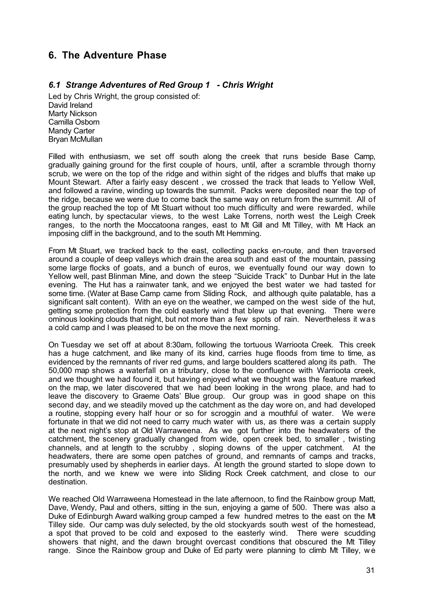# **6. The Adventure Phase**

# *6.1 Strange Adventures of Red Group 1 - Chris Wright*

Led by Chris Wright, the group consisted of: David Ireland Marty Nickson Camilla Osborn Mandy Carter Bryan McMullan

Filled with enthusiasm, we set off south along the creek that runs beside Base Camp, gradually gaining ground for the first couple of hours, until, after a scramble through thorny scrub, we were on the top of the ridge and within sight of the ridges and bluffs that make up Mount Stewart. After a fairly easy descent , we crossed the track that leads to Yellow Well, and followed a ravine, winding up towards the summit. Packs were deposited near the top of the ridge, because we were due to come back the same way on return from the summit. All of the group reached the top of Mt Stuart without too much difficulty and were rewarded, while eating lunch, by spectacular views, to the west Lake Torrens, north west the Leigh Creek ranges, to the north the Moccatoona ranges, east to Mt Gill and Mt Tilley, with Mt Hack an imposing cliff in the background, and to the south Mt Hemming.

From Mt Stuart, we tracked back to the east, collecting packs en-route, and then traversed around a couple of deep valleys which drain the area south and east of the mountain, passing some large flocks of goats, and a bunch of euros, we eventually found our way down to Yellow well, past Blinman Mine, and down the steep "Suicide Track" to Dunbar Hut in the late evening. The Hut has a rainwater tank, and we enjoyed the best water we had tasted for some time. (Water at Base Camp came from Sliding Rock, and although quite palatable, has a significant salt content). With an eye on the weather, we camped on the west side of the hut, getting some protection from the cold easterly wind that blew up that evening. There were ominous looking clouds that night, but not more than a few spots of rain. Nevertheless it was a cold camp and I was pleased to be on the move the next morning.

On Tuesday we set off at about 8:30am, following the tortuous Warrioota Creek. This creek has a huge catchment, and like many of its kind, carries huge floods from time to time, as evidenced by the remnants of river red gums, and large boulders scattered along its path. The 50,000 map shows a waterfall on a tributary, close to the confluence with Warrioota creek, and we thought we had found it, but having enjoyed what we thought was the feature marked on the map, we later discovered that we had been looking in the wrong place, and had to leave the discovery to Graeme Oats' Blue group. Our group was in good shape on this second day, and we steadily moved up the catchment as the day wore on, and had developed a routine, stopping every half hour or so for scroggin and a mouthful of water. We were fortunate in that we did not need to carry much water with us, as there was a certain supply at the next night's stop at Old Warraweena. As we got further into the headwaters of the catchment, the scenery gradually changed from wide, open creek bed, to smaller , twisting channels, and at length to the scrubby , sloping downs of the upper catchment. At the headwaters, there are some open patches of ground, and remnants of camps and tracks, presumably used by shepherds in earlier days. At length the ground started to slope down to the north, and we knew we were into Sliding Rock Creek catchment, and close to our destination.

We reached Old Warraweena Homestead in the late afternoon, to find the Rainbow group Matt, Dave, Wendy, Paul and others, sitting in the sun, enjoying a game of 500. There was also a Duke of Edinburgh Award walking group camped a few hundred metres to the east on the Mt Tilley side. Our camp was duly selected, by the old stockyards south west of the homestead, a spot that proved to be cold and exposed to the easterly wind. There were scudding showers that night, and the dawn brought overcast conditions that obscured the Mt Tilley range. Since the Rainbow group and Duke of Ed party were planning to climb Mt Tilley, w e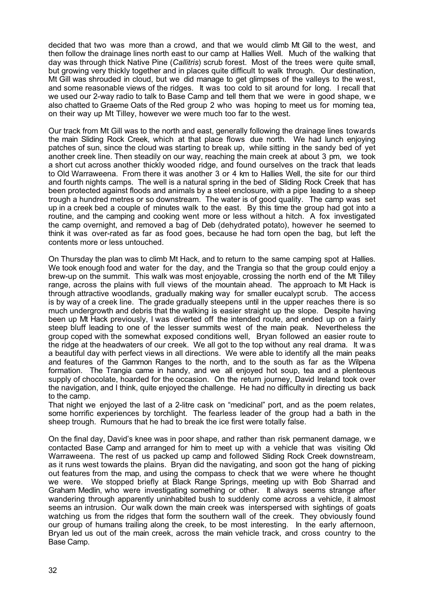decided that two was more than a crowd, and that we would climb Mt Gill to the west, and then follow the drainage lines north east to our camp at Hallies Well. Much of the walking that day was through thick Native Pine (*Callitris*) scrub forest. Most of the trees were quite small, but growing very thickly together and in places quite difficult to walk through. Our destination, Mt Gill was shrouded in cloud, but we did manage to get glimpses of the valleys to the west, and some reasonable views of the ridges. It was too cold to sit around for long. I recall that we used our 2-way radio to talk to Base Camp and tell them that we were in good shape, w e also chatted to Graeme Oats of the Red group 2 who was hoping to meet us for morning tea, on their way up Mt Tilley, however we were much too far to the west.

Our track from Mt Gill was to the north and east, generally following the drainage lines towards the main Sliding Rock Creek, which at that place flows due north. We had lunch enjoying patches of sun, since the cloud was starting to break up, while sitting in the sandy bed of yet another creek line. Then steadily on our way, reaching the main creek at about 3 pm, we took a short cut across another thickly wooded ridge, and found ourselves on the track that leads to Old Warraweena. From there it was another 3 or 4 km to Hallies Well, the site for our third and fourth nights camps. The well is a natural spring in the bed of Sliding Rock Creek that has been protected against floods and animals by a steel enclosure, with a pipe leading to a sheep trough a hundred metres or so downstream. The water is of good quality. The camp was set up in a creek bed a couple of minutes walk to the east. By this time the group had got into a routine, and the camping and cooking went more or less without a hitch. A fox investigated the camp overnight, and removed a bag of Deb (dehydrated potato), however he seemed to think it was over-rated as far as food goes, because he had torn open the bag, but left the contents more or less untouched.

On Thursday the plan was to climb Mt Hack, and to return to the same camping spot at Hallies. We took enough food and water for the day, and the Trangia so that the group could enjoy a brew-up on the summit. This walk was most enjoyable, crossing the north end of the Mt Tilley range, across the plains with full views of the mountain ahead. The approach to Mt Hack is through attractive woodlands, gradually making way for smaller eucalypt scrub. The access is by way of a creek line. The grade gradually steepens until in the upper reaches there is so much undergrowth and debris that the walking is easier straight up the slope. Despite having been up Mt Hack previously, I was diverted off the intended route, and ended up on a fairly steep bluff leading to one of the lesser summits west of the main peak. Nevertheless the group coped with the somewhat exposed conditions well, Bryan followed an easier route to the ridge at the headwaters of our creek. We all got to the top without any real drama. It was a beautiful day with perfect views in all directions. We were able to identify all the main peaks and features of the Gammon Ranges to the north, and to the south as far as the Wilpena formation. The Trangia came in handy, and we all enjoyed hot soup, tea and a plenteous supply of chocolate, hoarded for the occasion. On the return journey, David Ireland took over the navigation, and I think, quite enjoyed the challenge. He had no difficulty in directing us back to the camp.

That night we enjoyed the last of a 2-litre cask on "medicinal" port, and as the poem relates, some horrific experiences by torchlight. The fearless leader of the group had a bath in the sheep trough. Rumours that he had to break the ice first were totally false.

On the final day, David's knee was in poor shape, and rather than risk permanent damage, w e contacted Base Camp and arranged for him to meet up with a vehicle that was visiting Old Warraweena. The rest of us packed up camp and followed Sliding Rock Creek downstream, as it runs west towards the plains. Bryan did the navigating, and soon got the hang of picking out features from the map, and using the compass to check that we were where he thought we were. We stopped briefly at Black Range Springs, meeting up with Bob Sharrad and Graham Medlin, who were investigating something or other. It always seems strange after wandering through apparently uninhabited bush to suddenly come across a vehicle, it almost seems an intrusion. Our walk down the main creek was interspersed with sightings of goats watching us from the ridges that form the southern wall of the creek. They obviously found our group of humans trailing along the creek, to be most interesting. In the early afternoon, Bryan led us out of the main creek, across the main vehicle track, and cross country to the Base Camp.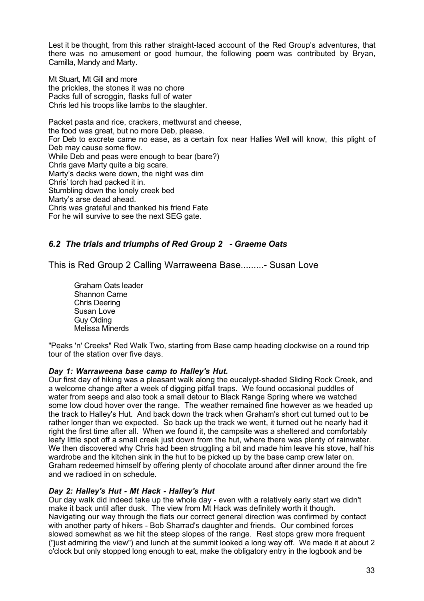Lest it be thought, from this rather straight-laced account of the Red Group's adventures, that there was no amusement or good humour, the following poem was contributed by Bryan, Camilla, Mandy and Marty.

Mt Stuart, Mt Gill and more the prickles, the stones it was no chore Packs full of scroggin, flasks full of water Chris led his troops like lambs to the slaughter.

Packet pasta and rice, crackers, mettwurst and cheese, the food was great, but no more Deb, please. For Deb to excrete came no ease, as a certain fox near Hallies Well will know, this plight of Deb may cause some flow. While Deb and peas were enough to bear (bare?) Chris gave Marty quite a big scare. Marty's dacks were down, the night was dim Chris' torch had packed it in. Stumbling down the lonely creek bed Marty's arse dead ahead. Chris was grateful and thanked his friend Fate For he will survive to see the next SEG gate.

# *6.2 The trials and triumphs of Red Group 2 - Graeme Oats*

This is Red Group 2 Calling Warraweena Base.........- Susan Love

Graham Oats leader Shannon Carne Chris Deering Susan Love Guy Olding Melissa Minerds

"Peaks 'n' Creeks" Red Walk Two, starting from Base camp heading clockwise on a round trip tour of the station over five days.

#### *Day 1: Warraweena base camp to Halley's Hut.*

Our first day of hiking was a pleasant walk along the eucalypt-shaded Sliding Rock Creek, and a welcome change after a week of digging pitfall traps. We found occasional puddles of water from seeps and also took a small detour to Black Range Spring where we watched some low cloud hover over the range. The weather remained fine however as we headed up the track to Halley's Hut. And back down the track when Graham's short cut turned out to be rather longer than we expected. So back up the track we went, it turned out he nearly had it right the first time after all. When we found it, the campsite was a sheltered and comfortably leafy little spot off a small creek just down from the hut, where there was plenty of rainwater. We then discovered why Chris had been struggling a bit and made him leave his stove, half his wardrobe and the kitchen sink in the hut to be picked up by the base camp crew later on. Graham redeemed himself by offering plenty of chocolate around after dinner around the fire and we radioed in on schedule.

# *Day 2: Halley's Hut - Mt Hack - Halley's Hut*

Our day walk did indeed take up the whole day - even with a relatively early start we didn't make it back until after dusk. The view from Mt Hack was definitely worth it though. Navigating our way through the flats our correct general direction was confirmed by contact with another party of hikers - Bob Sharrad's daughter and friends. Our combined forces slowed somewhat as we hit the steep slopes of the range. Rest stops grew more frequent ("just admiring the view") and lunch at the summit looked a long way off. We made it at about 2 o'clock but only stopped long enough to eat, make the obligatory entry in the logbook and be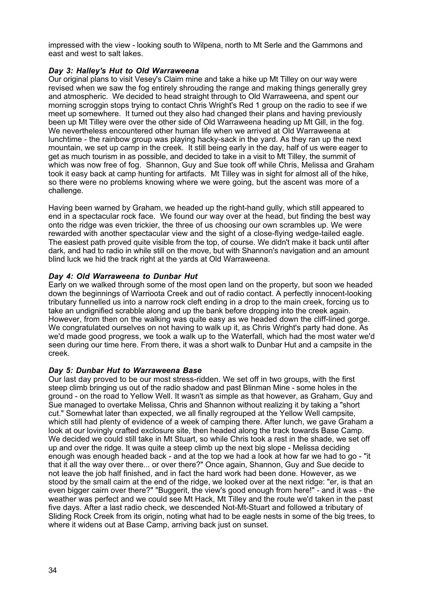impressed with the view - looking south to Wilpena, north to Mt Serle and the Gammons and east and west to salt lakes.

# *Day 3: Halley's Hut to Old Warraweena*

Our original plans to visit Vesey's Claim mine and take a hike up Mt Tilley on our way were revised when we saw the fog entirely shrouding the range and making things generally grey and atmospheric. We decided to head straight through to Old Warraweena, and spent our morning scroggin stops trying to contact Chris Wright's Red 1 group on the radio to see if we meet up somewhere. It turned out they also had changed their plans and having previously been up Mt Tilley were over the other side of Old Warraweena heading up Mt Gill, in the fog. We nevertheless encountered other human life when we arrived at Old Warraweena at lunchtime - the rainbow group was playing hacky-sack in the yard. As they ran up the next mountain, we set up camp in the creek. It still being early in the day, half of us were eager to get as much tourism in as possible, and decided to take in a visit to Mt Tilley, the summit of which was now free of fog. Shannon, Guy and Sue took off while Chris, Melissa and Graham took it easy back at camp hunting for artifacts. Mt Tilley was in sight for almost all of the hike, so there were no problems knowing where we were going, but the ascent was more of a challenge.

Having been warned by Graham, we headed up the right-hand gully, which still appeared to end in a spectacular rock face. We found our way over at the head, but finding the best way onto the ridge was even trickier, the three of us choosing our own scrambles up. We were rewarded with another spectacular view and the sight of a close-flying wedge-tailed eagle. The easiest path proved quite visible from the top, of course. We didn't make it back until after dark, and had to radio in while still on the move, but with Shannon's navigation and an amount blind luck we hid the track right at the yards at Old Warraweena.

# *Day 4: Old Warraweena to Dunbar Hut*

Early on we walked through some of the most open land on the property, but soon we headed down the beginnings of Warrioota Creek and out of radio contact. A perfectly innocent-looking tributary funnelled us into a narrow rock cleft ending in a drop to the main creek, forcing us to take an undignified scrabble along and up the bank before dropping into the creek again. However, from then on the walking was quite easy as we headed down the cliff-lined gorge. We congratulated ourselves on not having to walk up it, as Chris Wright's party had done. As we'd made good progress, we took a walk up to the Waterfall, which had the most water we'd seen during our time here. From there, it was a short walk to Dunbar Hut and a campsite in the creek.

# *Day 5: Dunbar Hut to Warraweena Base*

Our last day proved to be our most stress-ridden. We set off in two groups, with the first steep climb bringing us out of the radio shadow and past Blinman Mine - some holes in the ground - on the road to Yellow Well. It wasn't as simple as that however, as Graham, Guy and Sue managed to overtake Melissa, Chris and Shannon without realizing it by taking a "short cut." Somewhat later than expected, we all finally regrouped at the Yellow Well campsite, which still had plenty of evidence of a week of camping there. After lunch, we gave Graham a look at our lovingly crafted exclosure site, then headed along the track towards Base Camp. We decided we could still take in Mt Stuart, so while Chris took a rest in the shade, we set off up and over the ridge. It was quite a steep climb up the next big slope - Melissa deciding enough was enough headed back - and at the top we had a look at how far we had to go - "it that it all the way over there... or over there?" Once again, Shannon, Guy and Sue decide to not leave the job half finished, and in fact the hard work had been done. However, as we stood by the small cairn at the end of the ridge, we looked over at the next ridge: "er, is that an even bigger cairn over there?" "Buggerit, the view's good enough from here!" - and it was - the weather was perfect and we could see Mt Hack, Mt Tilley and the route we'd taken in the past five days. After a last radio check, we descended Not-Mt-Stuart and followed a tributary of Sliding Rock Creek from its origin, noting what had to be eagle nests in some of the big trees, to where it widens out at Base Camp, arriving back just on sunset.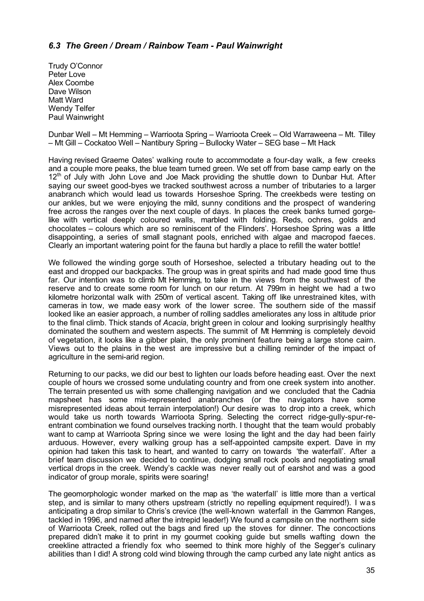# *6.3 The Green / Dream / Rainbow Team - Paul Wainwright*

Trudy O'Connor Peter Love Alex Coombe Dave Wilson Matt Ward Wendy Telfer Paul Wainwright

Dunbar Well – Mt Hemming – Warrioota Spring – Warrioota Creek – Old Warraweena – Mt. Tilley – Mt Gill – Cockatoo Well – Nantibury Spring – Bullocky Water – SEG base – Mt Hack

Having revised Graeme Oates' walking route to accommodate a four-day walk, a few creeks and a couple more peaks, the blue team turned green. We set off from base camp early on the 12<sup>th</sup> of July with John Love and Joe Mack providing the shuttle down to Dunbar Hut. After saying our sweet good-byes we tracked southwest across a number of tributaries to a larger anabranch which would lead us towards Horseshoe Spring. The creekbeds were testing on our ankles, but we were enjoying the mild, sunny conditions and the prospect of wandering free across the ranges over the next couple of days. In places the creek banks turned gorgelike with vertical deeply coloured walls, marbled with folding. Reds, ochres, golds and chocolates – colours which are so reminiscent of the Flinders'. Horseshoe Spring was a little disappointing, a series of small stagnant pools, enriched with algae and macropod faeces. Clearly an important watering point for the fauna but hardly a place to refill the water bottle!

We followed the winding gorge south of Horseshoe, selected a tributary heading out to the east and dropped our backpacks. The group was in great spirits and had made good time thus far. Our intention was to climb Mt Hemming, to take in the views from the southwest of the reserve and to create some room for lunch on our return. At 799m in height we had a two kilometre horizontal walk with 250m of vertical ascent. Taking off like unrestrained kites, with cameras in tow, we made easy work of the lower scree. The southern side of the massif looked like an easier approach, a number of rolling saddles ameliorates any loss in altitude prior to the final climb. Thick stands of *Acacia*, bright green in colour and looking surprisingly healthy dominated the southern and western aspects. The summit of Mt Hemming is completely devoid of vegetation, it looks like a gibber plain, the only prominent feature being a large stone cairn. Views out to the plains in the west are impressive but a chilling reminder of the impact of agriculture in the semi-arid region.

Returning to our packs, we did our best to lighten our loads before heading east. Over the next couple of hours we crossed some undulating country and from one creek system into another. The terrain presented us with some challenging navigation and we concluded that the Cadnia mapsheet has some mis-represented anabranches (or the navigators have some misrepresented ideas about terrain interpolation!) Our desire was to drop into a creek, which would take us north towards Warrioota Spring. Selecting the correct ridge-gully-spur-reentrant combination we found ourselves tracking north. I thought that the team would probably want to camp at Warrioota Spring since we were losing the light and the day had been fairly arduous. However, every walking group has a self-appointed campsite expert. Dave in my opinion had taken this task to heart, and wanted to carry on towards 'the waterfall'. After a brief team discussion we decided to continue, dodging small rock pools and negotiating small vertical drops in the creek. Wendy's cackle was never really out of earshot and was a good indicator of group morale, spirits were soaring!

The geomorphologic wonder marked on the map as 'the waterfall' is little more than a vertical step, and is similar to many others upstream (strictly no repelling equipment required!). I was anticipating a drop similar to Chris's crevice (the well-known waterfall in the Gammon Ranges, tackled in 1996, and named after the intrepid leader!) We found a campsite on the northern side of Warrioota Creek, rolled out the bags and fired up the stoves for dinner. The concoctions prepared didn't make it to print in my gourmet cooking guide but smells wafting down the creekline attracted a friendly fox who seemed to think more highly of the Segger's culinary abilities than I did! A strong cold wind blowing through the camp curbed any late night antics as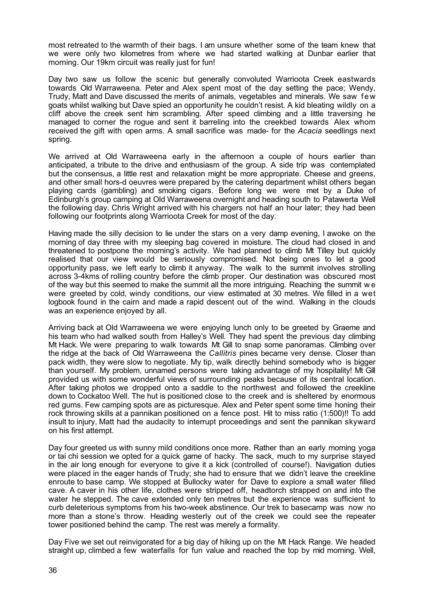most retreated to the warmth of their bags. I am unsure whether some of the team knew that we were only two kilometres from where we had started walking at Dunbar earlier that morning. Our 19km circuit was really just for fun!

Day two saw us follow the scenic but generally convoluted Warrioota Creek eastwards towards Old Warraweena. Peter and Alex spent most of the day setting the pace; Wendy, Trudy, Matt and Dave discussed the merits of animals, vegetables and minerals. We saw few goats whilst walking but Dave spied an opportunity he couldn't resist. A kid bleating wildly on a cliff above the creek sent him scrambling. After speed climbing and a little traversing he managed to corner the rogue and sent it barreling into the creekbed towards Alex whom received the gift with open arms. A small sacrifice was made- for the *Acacia* seedlings next spring.

We arrived at Old Warraweena early in the afternoon a couple of hours earlier than anticipated, a tribute to the drive and enthusiasm of the group. A side trip was contemplated but the consensus, a little rest and relaxation might be more appropriate. Cheese and greens, and other small hors-d oeuvres were prepared by the catering department whilst others began playing cards (gambling) and smoking cigars. Before long we were met by a Duke of Edinburgh's group camping at Old Warraweena overnight and heading south to Patawerta Well the following day. Chris Wright arrived with his chargers not half an hour later; they had been following our footprints along Warrioota Creek for most of the day.

Having made the silly decision to lie under the stars on a very damp evening, I awoke on the morning of day three with my sleeping bag covered in moisture. The cloud had closed in and threatened to postpone the morning's activity. We had planned to climb Mt Tilley but quickly realised that our view would be seriously compromised. Not being ones to let a good opportunity pass, we left early to climb it anyway. The walk to the summit involves strolling across 3-4kms of rolling country before the climb proper. Our destination was obscured most of the way but this seemed to make the summit all the more intriguing. Reaching the summit w e were greeted by cold, windy conditions, our view estimated at 30 metres. We filled in a wet logbook found in the cairn and made a rapid descent out of the wind. Walking in the clouds was an experience enjoyed by all.

Arriving back at Old Warraweena we were enjoying lunch only to be greeted by Graeme and his team who had walked south from Halley's Well. They had spent the previous day climbing Mt Hack. We were preparing to walk towards Mt Gill to snap some panoramas. Climbing over the ridge at the back of Old Warraweena the *Callitris* pines became very dense. Closer than pack width, they were slow to negotiate. My tip, walk directly behind somebody who is bigger than yourself. My problem, unnamed persons were taking advantage of my hospitality! Mt Gill provided us with some wonderful views of surrounding peaks because of its central location. After taking photos we dropped onto a saddle to the northwest and followed the creekline down to Cockatoo Well. The hut is positioned close to the creek and is sheltered by enormous red gums. Few camping spots are as picturesque. Alex and Peter spent some time honing their rock throwing skills at a pannikan positioned on a fence post. Hit to miss ratio (1:500)!! To add insult to injury, Matt had the audacity to interrupt proceedings and sent the pannikan skyward on his first attempt.

Day four greeted us with sunny mild conditions once more. Rather than an early morning yoga or tai chi session we opted for a quick game of hacky. The sack, much to my surprise stayed in the air long enough for everyone to give it a kick (controlled of course!). Navigation duties were placed in the eager hands of Trudy; she had to ensure that we didn't leave the creekline enroute to base camp. We stopped at Bullocky water for Dave to explore a small water filled cave. A caver in his other life, clothes were stripped off, headtorch strapped on and into the water he stepped. The cave extended only ten metres but the experience was sufficient to curb deleterious symptoms from his two-week abstinence. Our trek to basecamp was now no more than a stone's throw. Heading westerly out of the creek we could see the repeater tower positioned behind the camp. The rest was merely a formality.

Day Five we set out reinvigorated for a big day of hiking up on the Mt Hack Range. We headed straight up, climbed a few waterfalls for fun value and reached the top by mid morning. Well,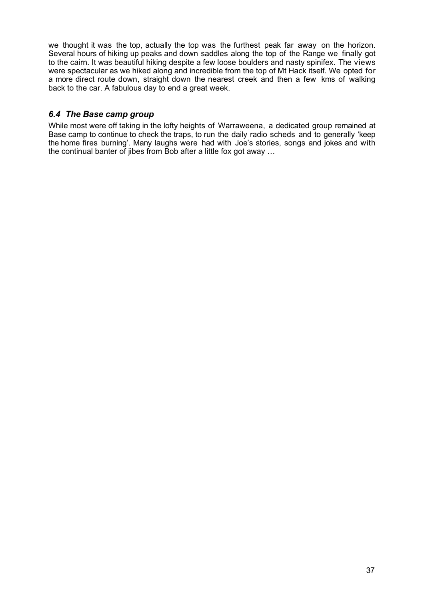we thought it was the top, actually the top was the furthest peak far away on the horizon. Several hours of hiking up peaks and down saddles along the top of the Range we finally got to the cairn. It was beautiful hiking despite a few loose boulders and nasty spinifex. The views were spectacular as we hiked along and incredible from the top of Mt Hack itself. We opted for a more direct route down, straight down the nearest creek and then a few kms of walking back to the car. A fabulous day to end a great week.

# *6.4 The Base camp group*

While most were off taking in the lofty heights of Warraweena, a dedicated group remained at Base camp to continue to check the traps, to run the daily radio scheds and to generally 'keep the home fires burning'. Many laughs were had with Joe's stories, songs and jokes and with the continual banter of jibes from Bob after a little fox got away …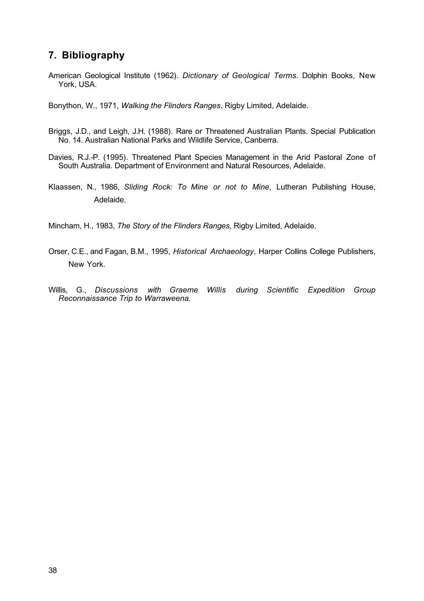# **7. Bibliography**

American Geological Institute (1962). *Dictionary of Geological Terms*. Dolphin Books, New York, USA.

Bonython, W., 1971, *Walking the Flinders Ranges*, Rigby Limited, Adelaide.

- Briggs, J.D., and Leigh, J.H. (1988). Rare or Threatened Australian Plants. Special Publication No. 14. Australian National Parks and Wildlife Service, Canberra.
- Davies, R.J.-P. (1995). Threatened Plant Species Management in the Arid Pastoral Zone of South Australia. Department of Environment and Natural Resources, Adelaide.
- Klaassen, N., 1986, *Sliding Rock: To Mine or not to Mine*, Lutheran Publishing House, Adelaide.

Mincham, H., 1983, *The Story of the Flinders Ranges*, Rigby Limited, Adelaide.

- Orser, C.E., and Fagan, B.M., 1995, *Historical Archaeology*, Harper Collins College Publishers, New York.
- Willis, G., *Discussions with Graeme Willis during Scientific Expedition Group Reconnaissance Trip to Warraweena.*